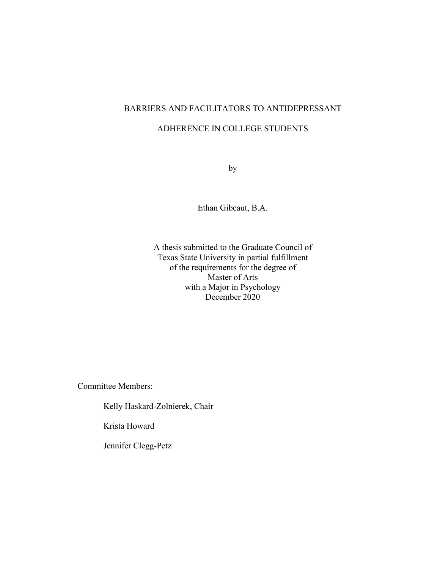# BARRIERS AND FACILITATORS TO ANTIDEPRESSANT

### ADHERENCE IN COLLEGE STUDENTS

by

Ethan Gibeaut, B.A.

A thesis submitted to the Graduate Council of Texas State University in partial fulfillment of the requirements for the degree of Master of Arts with a Major in Psychology December 2020

Committee Members:

Kelly Haskard-Zolnierek, Chair

Krista Howard

Jennifer Clegg-Petz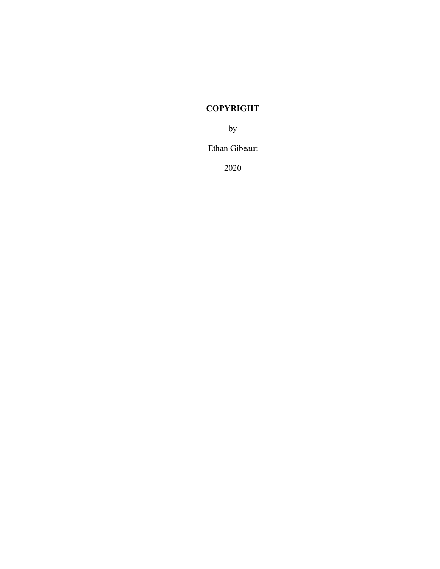# **COPYRIGHT**

by

Ethan Gibeaut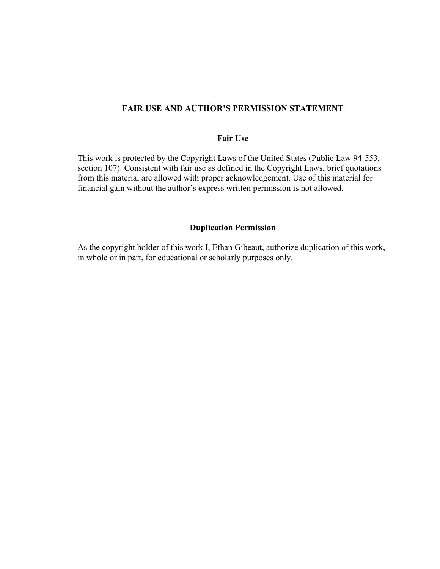#### **FAIR USE AND AUTHOR'S PERMISSION STATEMENT**

#### **Fair Use**

This work is protected by the Copyright Laws of the United States (Public Law 94-553, section 107). Consistent with fair use as defined in the Copyright Laws, brief quotations from this material are allowed with proper acknowledgement. Use of this material for financial gain without the author's express written permission is not allowed.

#### **Duplication Permission**

As the copyright holder of this work I, Ethan Gibeaut, authorize duplication of this work, in whole or in part, for educational or scholarly purposes only.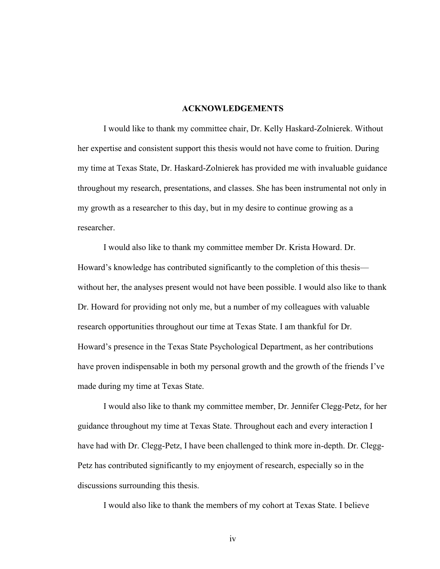#### **ACKNOWLEDGEMENTS**

I would like to thank my committee chair, Dr. Kelly Haskard-Zolnierek. Without her expertise and consistent support this thesis would not have come to fruition. During my time at Texas State, Dr. Haskard-Zolnierek has provided me with invaluable guidance throughout my research, presentations, and classes. She has been instrumental not only in my growth as a researcher to this day, but in my desire to continue growing as a researcher.

I would also like to thank my committee member Dr. Krista Howard. Dr. Howard's knowledge has contributed significantly to the completion of this thesis without her, the analyses present would not have been possible. I would also like to thank Dr. Howard for providing not only me, but a number of my colleagues with valuable research opportunities throughout our time at Texas State. I am thankful for Dr. Howard's presence in the Texas State Psychological Department, as her contributions have proven indispensable in both my personal growth and the growth of the friends I've made during my time at Texas State.

I would also like to thank my committee member, Dr. Jennifer Clegg-Petz, for her guidance throughout my time at Texas State. Throughout each and every interaction I have had with Dr. Clegg-Petz, I have been challenged to think more in-depth. Dr. Clegg-Petz has contributed significantly to my enjoyment of research, especially so in the discussions surrounding this thesis.

I would also like to thank the members of my cohort at Texas State. I believe

iv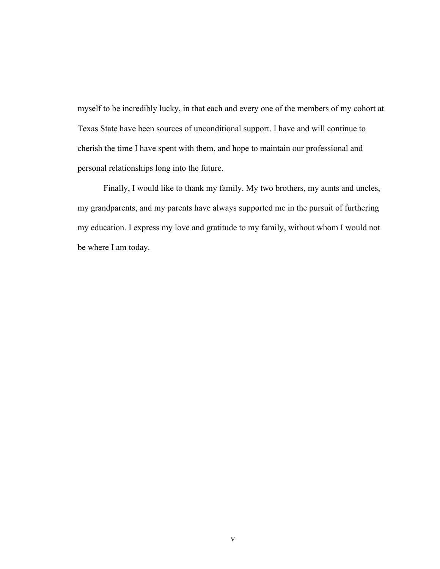myself to be incredibly lucky, in that each and every one of the members of my cohort at Texas State have been sources of unconditional support. I have and will continue to cherish the time I have spent with them, and hope to maintain our professional and personal relationships long into the future.

Finally, I would like to thank my family. My two brothers, my aunts and uncles, my grandparents, and my parents have always supported me in the pursuit of furthering my education. I express my love and gratitude to my family, without whom I would not be where I am today.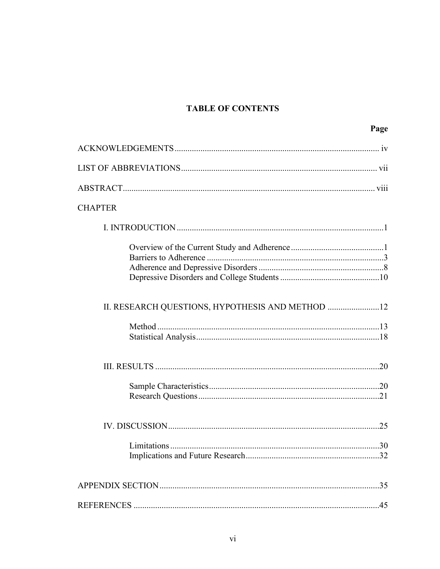# **TABLE OF CONTENTS**

|                                                  | Page |
|--------------------------------------------------|------|
|                                                  |      |
|                                                  |      |
|                                                  |      |
| <b>CHAPTER</b>                                   |      |
|                                                  |      |
|                                                  |      |
| II. RESEARCH QUESTIONS, HYPOTHESIS AND METHOD 12 |      |
|                                                  |      |
|                                                  |      |
|                                                  |      |
|                                                  |      |
|                                                  |      |
|                                                  |      |
|                                                  |      |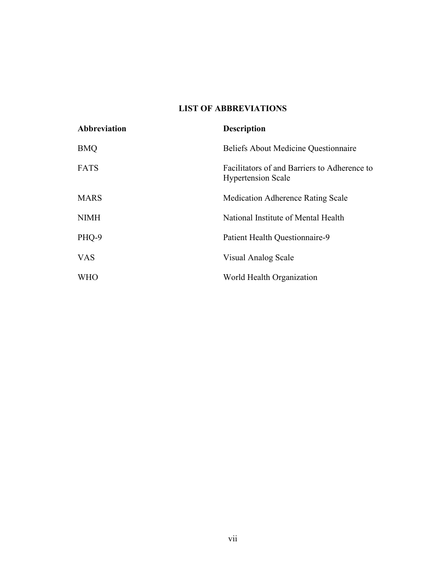## **LIST OF ABBREVIATIONS**

| Abbreviation | <b>Description</b>                                                        |
|--------------|---------------------------------------------------------------------------|
| <b>BMQ</b>   | <b>Beliefs About Medicine Questionnaire</b>                               |
| <b>FATS</b>  | Facilitators of and Barriers to Adherence to<br><b>Hypertension Scale</b> |
| <b>MARS</b>  | <b>Medication Adherence Rating Scale</b>                                  |
| <b>NIMH</b>  | National Institute of Mental Health                                       |
| PHQ-9        | Patient Health Questionnaire-9                                            |
| <b>VAS</b>   | Visual Analog Scale                                                       |
| <b>WHO</b>   | World Health Organization                                                 |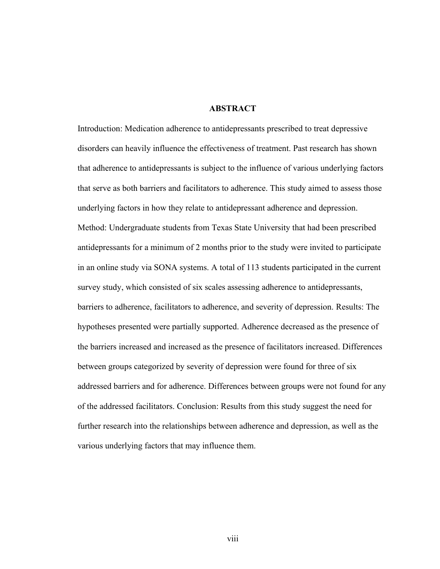#### **ABSTRACT**

Introduction: Medication adherence to antidepressants prescribed to treat depressive disorders can heavily influence the effectiveness of treatment. Past research has shown that adherence to antidepressants is subject to the influence of various underlying factors that serve as both barriers and facilitators to adherence. This study aimed to assess those underlying factors in how they relate to antidepressant adherence and depression. Method: Undergraduate students from Texas State University that had been prescribed antidepressants for a minimum of 2 months prior to the study were invited to participate in an online study via SONA systems. A total of 113 students participated in the current survey study, which consisted of six scales assessing adherence to antidepressants, barriers to adherence, facilitators to adherence, and severity of depression. Results: The hypotheses presented were partially supported. Adherence decreased as the presence of the barriers increased and increased as the presence of facilitators increased. Differences between groups categorized by severity of depression were found for three of six addressed barriers and for adherence. Differences between groups were not found for any of the addressed facilitators. Conclusion: Results from this study suggest the need for further research into the relationships between adherence and depression, as well as the various underlying factors that may influence them.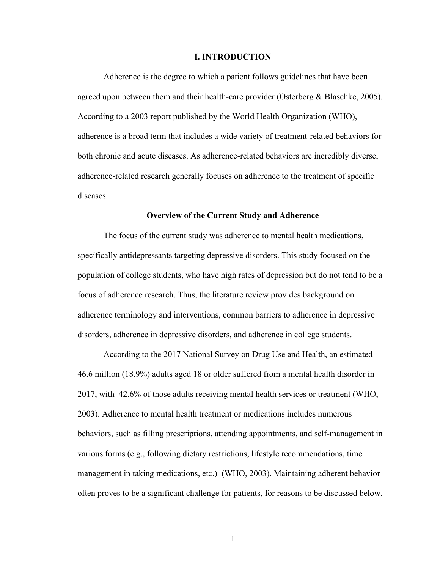#### **I. INTRODUCTION**

Adherence is the degree to which a patient follows guidelines that have been agreed upon between them and their health-care provider (Osterberg & Blaschke, 2005). According to a 2003 report published by the World Health Organization (WHO), adherence is a broad term that includes a wide variety of treatment-related behaviors for both chronic and acute diseases. As adherence-related behaviors are incredibly diverse, adherence-related research generally focuses on adherence to the treatment of specific diseases.

#### **Overview of the Current Study and Adherence**

The focus of the current study was adherence to mental health medications, specifically antidepressants targeting depressive disorders. This study focused on the population of college students, who have high rates of depression but do not tend to be a focus of adherence research. Thus, the literature review provides background on adherence terminology and interventions, common barriers to adherence in depressive disorders, adherence in depressive disorders, and adherence in college students.

According to the 2017 National Survey on Drug Use and Health, an estimated 46.6 million (18.9%) adults aged 18 or older suffered from a mental health disorder in 2017, with 42.6% of those adults receiving mental health services or treatment (WHO, 2003). Adherence to mental health treatment or medications includes numerous behaviors, such as filling prescriptions, attending appointments, and self-management in various forms (e.g., following dietary restrictions, lifestyle recommendations, time management in taking medications, etc.) (WHO, 2003). Maintaining adherent behavior often proves to be a significant challenge for patients, for reasons to be discussed below,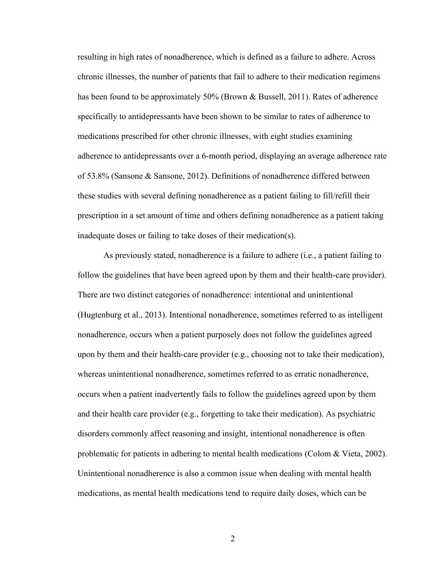resulting in high rates of nonadherence, which is defined as a failure to adhere. Across chronic illnesses, the number of patients that fail to adhere to their medication regimens has been found to be approximately 50% (Brown & Bussell, 2011). Rates of adherence specifically to antidepressants have been shown to be similar to rates of adherence to medications prescribed for other chronic illnesses, with eight studies examining adherence to antidepressants over a 6-month period, displaying an average adherence rate of 53.8% (Sansone & Sansone, 2012). Definitions of nonadherence differed between these studies with several defining nonadherence as a patient failing to fill/refill their prescription in a set amount of time and others defining nonadherence as a patient taking inadequate doses or failing to take doses of their medication(s).

As previously stated, nonadherence is a failure to adhere (i.e., a patient failing to follow the guidelines that have been agreed upon by them and their health-care provider). There are two distinct categories of nonadherence: intentional and unintentional (Hugtenburg et al., 2013). Intentional nonadherence, sometimes referred to as intelligent nonadherence, occurs when a patient purposely does not follow the guidelines agreed upon by them and their health-care provider (e.g., choosing not to take their medication), whereas unintentional nonadherence, sometimes referred to as erratic nonadherence, occurs when a patient inadvertently fails to follow the guidelines agreed upon by them and their health care provider (e.g., forgetting to take their medication). As psychiatric disorders commonly affect reasoning and insight, intentional nonadherence is often problematic for patients in adhering to mental health medications (Colom & Vieta, 2002). Unintentional nonadherence is also a common issue when dealing with mental health medications, as mental health medications tend to require daily doses, which can be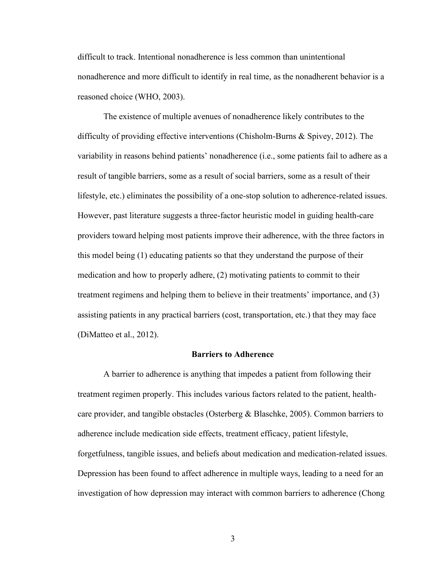difficult to track. Intentional nonadherence is less common than unintentional nonadherence and more difficult to identify in real time, as the nonadherent behavior is a reasoned choice (WHO, 2003).

The existence of multiple avenues of nonadherence likely contributes to the difficulty of providing effective interventions (Chisholm-Burns & Spivey, 2012). The variability in reasons behind patients' nonadherence (i.e., some patients fail to adhere as a result of tangible barriers, some as a result of social barriers, some as a result of their lifestyle, etc.) eliminates the possibility of a one-stop solution to adherence-related issues. However, past literature suggests a three-factor heuristic model in guiding health-care providers toward helping most patients improve their adherence, with the three factors in this model being (1) educating patients so that they understand the purpose of their medication and how to properly adhere, (2) motivating patients to commit to their treatment regimens and helping them to believe in their treatments' importance, and (3) assisting patients in any practical barriers (cost, transportation, etc.) that they may face (DiMatteo et al., 2012).

#### **Barriers to Adherence**

A barrier to adherence is anything that impedes a patient from following their treatment regimen properly. This includes various factors related to the patient, healthcare provider, and tangible obstacles (Osterberg  $\&$  Blaschke, 2005). Common barriers to adherence include medication side effects, treatment efficacy, patient lifestyle, forgetfulness, tangible issues, and beliefs about medication and medication-related issues. Depression has been found to affect adherence in multiple ways, leading to a need for an investigation of how depression may interact with common barriers to adherence (Chong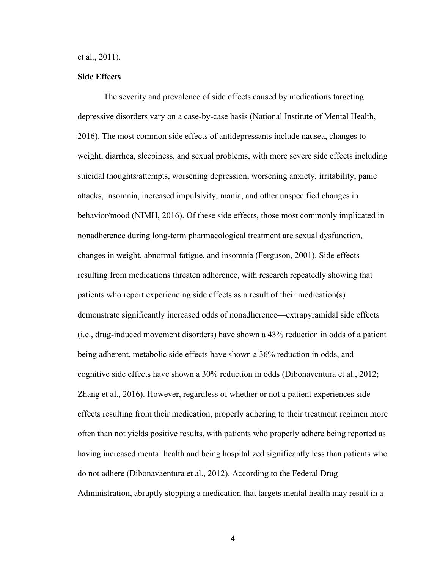et al., 2011).

#### **Side Effects**

The severity and prevalence of side effects caused by medications targeting depressive disorders vary on a case-by-case basis (National Institute of Mental Health, 2016). The most common side effects of antidepressants include nausea, changes to weight, diarrhea, sleepiness, and sexual problems, with more severe side effects including suicidal thoughts/attempts, worsening depression, worsening anxiety, irritability, panic attacks, insomnia, increased impulsivity, mania, and other unspecified changes in behavior/mood (NIMH, 2016). Of these side effects, those most commonly implicated in nonadherence during long-term pharmacological treatment are sexual dysfunction, changes in weight, abnormal fatigue, and insomnia (Ferguson, 2001). Side effects resulting from medications threaten adherence, with research repeatedly showing that patients who report experiencing side effects as a result of their medication(s) demonstrate significantly increased odds of nonadherence—extrapyramidal side effects (i.e., drug-induced movement disorders) have shown a 43% reduction in odds of a patient being adherent, metabolic side effects have shown a 36% reduction in odds, and cognitive side effects have shown a 30% reduction in odds (Dibonaventura et al., 2012; Zhang et al., 2016). However, regardless of whether or not a patient experiences side effects resulting from their medication, properly adhering to their treatment regimen more often than not yields positive results, with patients who properly adhere being reported as having increased mental health and being hospitalized significantly less than patients who do not adhere (Dibonavaentura et al., 2012). According to the Federal Drug Administration, abruptly stopping a medication that targets mental health may result in a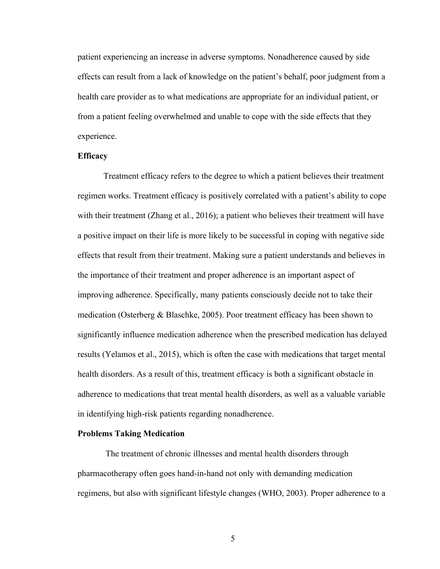patient experiencing an increase in adverse symptoms. Nonadherence caused by side effects can result from a lack of knowledge on the patient's behalf, poor judgment from a health care provider as to what medications are appropriate for an individual patient, or from a patient feeling overwhelmed and unable to cope with the side effects that they experience.

#### **Efficacy**

Treatment efficacy refers to the degree to which a patient believes their treatment regimen works. Treatment efficacy is positively correlated with a patient's ability to cope with their treatment (Zhang et al., 2016); a patient who believes their treatment will have a positive impact on their life is more likely to be successful in coping with negative side effects that result from their treatment. Making sure a patient understands and believes in the importance of their treatment and proper adherence is an important aspect of improving adherence. Specifically, many patients consciously decide not to take their medication (Osterberg & Blaschke, 2005). Poor treatment efficacy has been shown to significantly influence medication adherence when the prescribed medication has delayed results (Yelamos et al., 2015), which is often the case with medications that target mental health disorders. As a result of this, treatment efficacy is both a significant obstacle in adherence to medications that treat mental health disorders, as well as a valuable variable in identifying high-risk patients regarding nonadherence.

#### **Problems Taking Medication**

The treatment of chronic illnesses and mental health disorders through pharmacotherapy often goes hand-in-hand not only with demanding medication regimens, but also with significant lifestyle changes (WHO, 2003). Proper adherence to a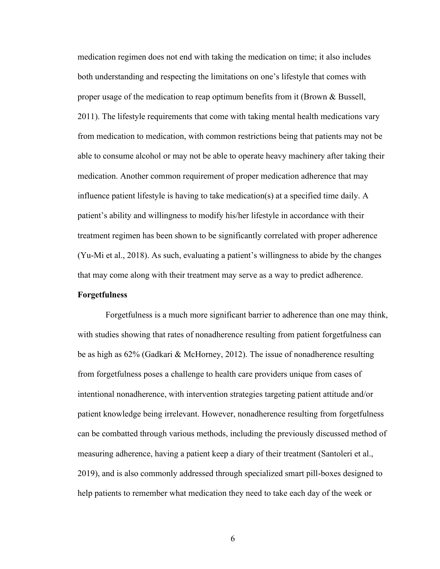medication regimen does not end with taking the medication on time; it also includes both understanding and respecting the limitations on one's lifestyle that comes with proper usage of the medication to reap optimum benefits from it (Brown & Bussell, 2011). The lifestyle requirements that come with taking mental health medications vary from medication to medication, with common restrictions being that patients may not be able to consume alcohol or may not be able to operate heavy machinery after taking their medication. Another common requirement of proper medication adherence that may influence patient lifestyle is having to take medication(s) at a specified time daily. A patient's ability and willingness to modify his/her lifestyle in accordance with their treatment regimen has been shown to be significantly correlated with proper adherence (Yu-Mi et al., 2018). As such, evaluating a patient's willingness to abide by the changes that may come along with their treatment may serve as a way to predict adherence.

#### **Forgetfulness**

Forgetfulness is a much more significant barrier to adherence than one may think, with studies showing that rates of nonadherence resulting from patient forgetfulness can be as high as 62% (Gadkari & McHorney, 2012). The issue of nonadherence resulting from forgetfulness poses a challenge to health care providers unique from cases of intentional nonadherence, with intervention strategies targeting patient attitude and/or patient knowledge being irrelevant. However, nonadherence resulting from forgetfulness can be combatted through various methods, including the previously discussed method of measuring adherence, having a patient keep a diary of their treatment (Santoleri et al., 2019), and is also commonly addressed through specialized smart pill-boxes designed to help patients to remember what medication they need to take each day of the week or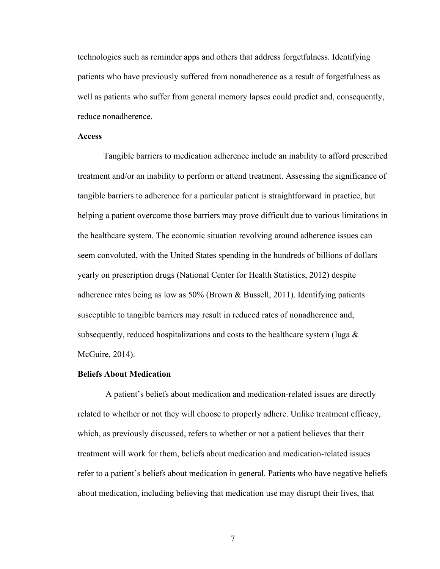technologies such as reminder apps and others that address forgetfulness. Identifying patients who have previously suffered from nonadherence as a result of forgetfulness as well as patients who suffer from general memory lapses could predict and, consequently, reduce nonadherence.

#### **Access**

Tangible barriers to medication adherence include an inability to afford prescribed treatment and/or an inability to perform or attend treatment. Assessing the significance of tangible barriers to adherence for a particular patient is straightforward in practice, but helping a patient overcome those barriers may prove difficult due to various limitations in the healthcare system. The economic situation revolving around adherence issues can seem convoluted, with the United States spending in the hundreds of billions of dollars yearly on prescription drugs (National Center for Health Statistics, 2012) despite adherence rates being as low as 50% (Brown & Bussell, 2011). Identifying patients susceptible to tangible barriers may result in reduced rates of nonadherence and, subsequently, reduced hospitalizations and costs to the healthcare system (Iuga  $\&$ McGuire, 2014).

#### **Beliefs About Medication**

A patient's beliefs about medication and medication-related issues are directly related to whether or not they will choose to properly adhere. Unlike treatment efficacy, which, as previously discussed, refers to whether or not a patient believes that their treatment will work for them, beliefs about medication and medication-related issues refer to a patient's beliefs about medication in general. Patients who have negative beliefs about medication, including believing that medication use may disrupt their lives, that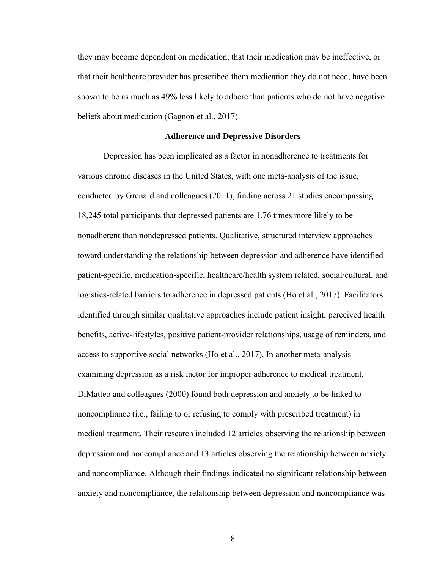they may become dependent on medication, that their medication may be ineffective, or that their healthcare provider has prescribed them medication they do not need, have been shown to be as much as 49% less likely to adhere than patients who do not have negative beliefs about medication (Gagnon et al., 2017).

#### **Adherence and Depressive Disorders**

Depression has been implicated as a factor in nonadherence to treatments for various chronic diseases in the United States, with one meta-analysis of the issue, conducted by Grenard and colleagues (2011), finding across 21 studies encompassing 18,245 total participants that depressed patients are 1.76 times more likely to be nonadherent than nondepressed patients. Qualitative, structured interview approaches toward understanding the relationship between depression and adherence have identified patient-specific, medication-specific, healthcare/health system related, social/cultural, and logistics-related barriers to adherence in depressed patients (Ho et al., 2017). Facilitators identified through similar qualitative approaches include patient insight, perceived health benefits, active-lifestyles, positive patient-provider relationships, usage of reminders, and access to supportive social networks (Ho et al., 2017). In another meta-analysis examining depression as a risk factor for improper adherence to medical treatment, DiMatteo and colleagues (2000) found both depression and anxiety to be linked to noncompliance (i.e., failing to or refusing to comply with prescribed treatment) in medical treatment. Their research included 12 articles observing the relationship between depression and noncompliance and 13 articles observing the relationship between anxiety and noncompliance. Although their findings indicated no significant relationship between anxiety and noncompliance, the relationship between depression and noncompliance was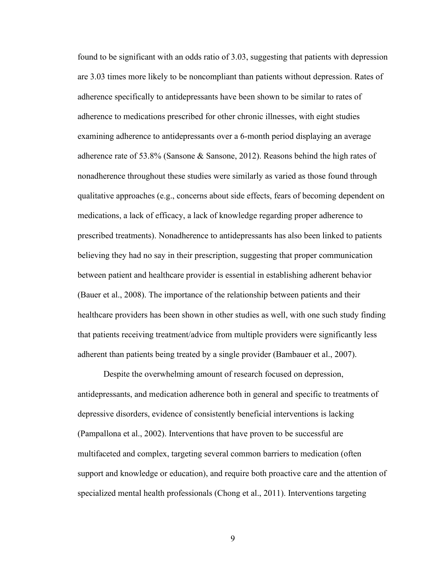found to be significant with an odds ratio of 3.03, suggesting that patients with depression are 3.03 times more likely to be noncompliant than patients without depression. Rates of adherence specifically to antidepressants have been shown to be similar to rates of adherence to medications prescribed for other chronic illnesses, with eight studies examining adherence to antidepressants over a 6-month period displaying an average adherence rate of 53.8% (Sansone & Sansone, 2012). Reasons behind the high rates of nonadherence throughout these studies were similarly as varied as those found through qualitative approaches (e.g., concerns about side effects, fears of becoming dependent on medications, a lack of efficacy, a lack of knowledge regarding proper adherence to prescribed treatments). Nonadherence to antidepressants has also been linked to patients believing they had no say in their prescription, suggesting that proper communication between patient and healthcare provider is essential in establishing adherent behavior (Bauer et al., 2008). The importance of the relationship between patients and their healthcare providers has been shown in other studies as well, with one such study finding that patients receiving treatment/advice from multiple providers were significantly less adherent than patients being treated by a single provider (Bambauer et al., 2007).

Despite the overwhelming amount of research focused on depression, antidepressants, and medication adherence both in general and specific to treatments of depressive disorders, evidence of consistently beneficial interventions is lacking (Pampallona et al., 2002). Interventions that have proven to be successful are multifaceted and complex, targeting several common barriers to medication (often support and knowledge or education), and require both proactive care and the attention of specialized mental health professionals (Chong et al., 2011). Interventions targeting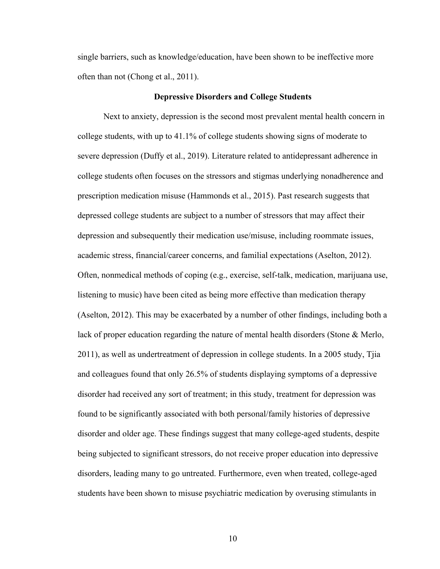single barriers, such as knowledge/education, have been shown to be ineffective more often than not (Chong et al., 2011).

#### **Depressive Disorders and College Students**

Next to anxiety, depression is the second most prevalent mental health concern in college students, with up to 41.1% of college students showing signs of moderate to severe depression (Duffy et al., 2019). Literature related to antidepressant adherence in college students often focuses on the stressors and stigmas underlying nonadherence and prescription medication misuse (Hammonds et al., 2015). Past research suggests that depressed college students are subject to a number of stressors that may affect their depression and subsequently their medication use/misuse, including roommate issues, academic stress, financial/career concerns, and familial expectations (Aselton, 2012). Often, nonmedical methods of coping (e.g., exercise, self-talk, medication, marijuana use, listening to music) have been cited as being more effective than medication therapy (Aselton, 2012). This may be exacerbated by a number of other findings, including both a lack of proper education regarding the nature of mental health disorders (Stone & Merlo, 2011), as well as undertreatment of depression in college students. In a 2005 study, Tjia and colleagues found that only 26.5% of students displaying symptoms of a depressive disorder had received any sort of treatment; in this study, treatment for depression was found to be significantly associated with both personal/family histories of depressive disorder and older age. These findings suggest that many college-aged students, despite being subjected to significant stressors, do not receive proper education into depressive disorders, leading many to go untreated. Furthermore, even when treated, college-aged students have been shown to misuse psychiatric medication by overusing stimulants in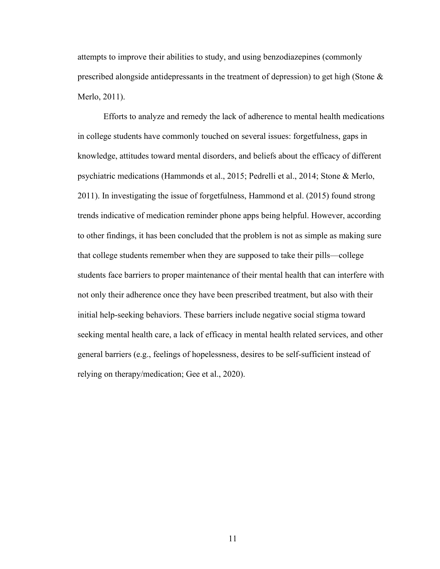attempts to improve their abilities to study, and using benzodiazepines (commonly prescribed alongside antidepressants in the treatment of depression) to get high (Stone & Merlo, 2011).

Efforts to analyze and remedy the lack of adherence to mental health medications in college students have commonly touched on several issues: forgetfulness, gaps in knowledge, attitudes toward mental disorders, and beliefs about the efficacy of different psychiatric medications (Hammonds et al., 2015; Pedrelli et al., 2014; Stone & Merlo, 2011). In investigating the issue of forgetfulness, Hammond et al. (2015) found strong trends indicative of medication reminder phone apps being helpful. However, according to other findings, it has been concluded that the problem is not as simple as making sure that college students remember when they are supposed to take their pills—college students face barriers to proper maintenance of their mental health that can interfere with not only their adherence once they have been prescribed treatment, but also with their initial help-seeking behaviors. These barriers include negative social stigma toward seeking mental health care, a lack of efficacy in mental health related services, and other general barriers (e.g., feelings of hopelessness, desires to be self-sufficient instead of relying on therapy/medication; Gee et al., 2020).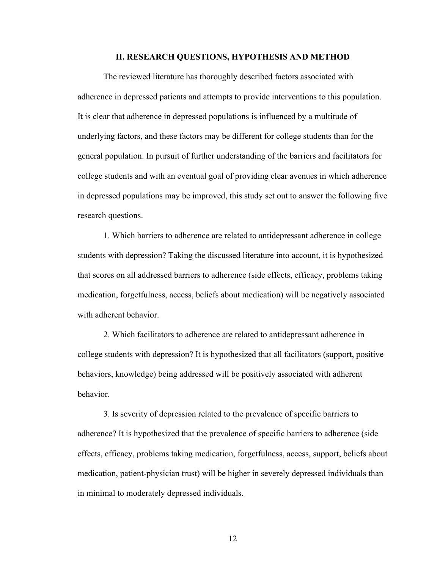#### **II. RESEARCH QUESTIONS, HYPOTHESIS AND METHOD**

The reviewed literature has thoroughly described factors associated with adherence in depressed patients and attempts to provide interventions to this population. It is clear that adherence in depressed populations is influenced by a multitude of underlying factors, and these factors may be different for college students than for the general population. In pursuit of further understanding of the barriers and facilitators for college students and with an eventual goal of providing clear avenues in which adherence in depressed populations may be improved, this study set out to answer the following five research questions.

1. Which barriers to adherence are related to antidepressant adherence in college students with depression? Taking the discussed literature into account, it is hypothesized that scores on all addressed barriers to adherence (side effects, efficacy, problems taking medication, forgetfulness, access, beliefs about medication) will be negatively associated with adherent behavior.

2. Which facilitators to adherence are related to antidepressant adherence in college students with depression? It is hypothesized that all facilitators (support, positive behaviors, knowledge) being addressed will be positively associated with adherent behavior.

3. Is severity of depression related to the prevalence of specific barriers to adherence? It is hypothesized that the prevalence of specific barriers to adherence (side effects, efficacy, problems taking medication, forgetfulness, access, support, beliefs about medication, patient-physician trust) will be higher in severely depressed individuals than in minimal to moderately depressed individuals.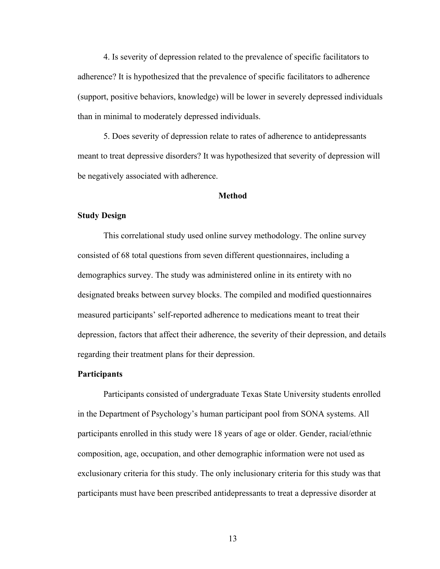4. Is severity of depression related to the prevalence of specific facilitators to adherence? It is hypothesized that the prevalence of specific facilitators to adherence (support, positive behaviors, knowledge) will be lower in severely depressed individuals than in minimal to moderately depressed individuals.

5. Does severity of depression relate to rates of adherence to antidepressants meant to treat depressive disorders? It was hypothesized that severity of depression will be negatively associated with adherence.

#### **Method**

#### **Study Design**

This correlational study used online survey methodology. The online survey consisted of 68 total questions from seven different questionnaires, including a demographics survey. The study was administered online in its entirety with no designated breaks between survey blocks. The compiled and modified questionnaires measured participants' self-reported adherence to medications meant to treat their depression, factors that affect their adherence, the severity of their depression, and details regarding their treatment plans for their depression.

#### **Participants**

Participants consisted of undergraduate Texas State University students enrolled in the Department of Psychology's human participant pool from SONA systems. All participants enrolled in this study were 18 years of age or older. Gender, racial/ethnic composition, age, occupation, and other demographic information were not used as exclusionary criteria for this study. The only inclusionary criteria for this study was that participants must have been prescribed antidepressants to treat a depressive disorder at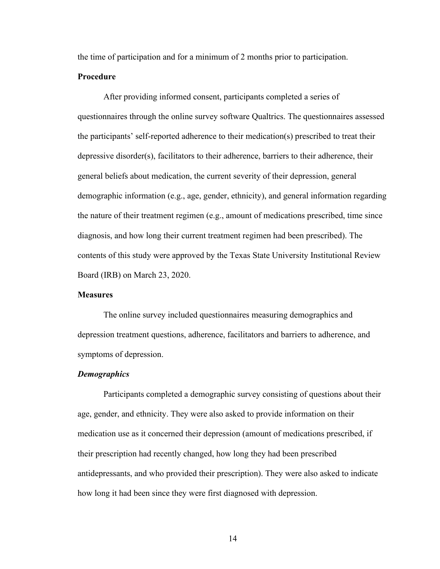the time of participation and for a minimum of 2 months prior to participation.

#### **Procedure**

After providing informed consent, participants completed a series of questionnaires through the online survey software Qualtrics. The questionnaires assessed the participants' self-reported adherence to their medication(s) prescribed to treat their depressive disorder(s), facilitators to their adherence, barriers to their adherence, their general beliefs about medication, the current severity of their depression, general demographic information (e.g., age, gender, ethnicity), and general information regarding the nature of their treatment regimen (e.g., amount of medications prescribed, time since diagnosis, and how long their current treatment regimen had been prescribed). The contents of this study were approved by the Texas State University Institutional Review Board (IRB) on March 23, 2020.

#### **Measures**

The online survey included questionnaires measuring demographics and depression treatment questions, adherence, facilitators and barriers to adherence, and symptoms of depression.

#### *Demographics*

Participants completed a demographic survey consisting of questions about their age, gender, and ethnicity. They were also asked to provide information on their medication use as it concerned their depression (amount of medications prescribed, if their prescription had recently changed, how long they had been prescribed antidepressants, and who provided their prescription). They were also asked to indicate how long it had been since they were first diagnosed with depression.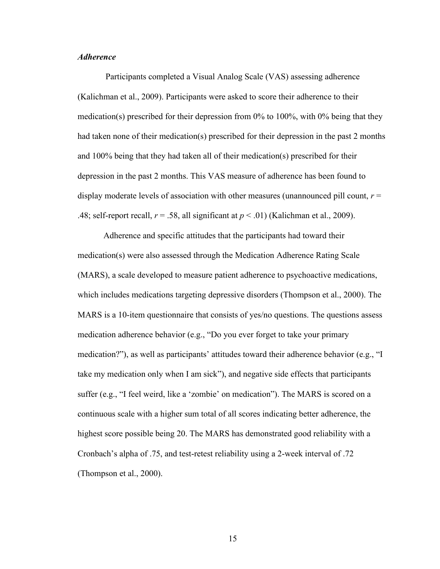#### *Adherence*

Participants completed a Visual Analog Scale (VAS) assessing adherence (Kalichman et al., 2009). Participants were asked to score their adherence to their medication(s) prescribed for their depression from 0% to 100%, with 0% being that they had taken none of their medication(s) prescribed for their depression in the past 2 months and 100% being that they had taken all of their medication(s) prescribed for their depression in the past 2 months. This VAS measure of adherence has been found to display moderate levels of association with other measures (unannounced pill count,  $r =$ .48; self-report recall,  $r = .58$ , all significant at  $p < .01$ ) (Kalichman et al., 2009).

Adherence and specific attitudes that the participants had toward their medication(s) were also assessed through the Medication Adherence Rating Scale (MARS), a scale developed to measure patient adherence to psychoactive medications, which includes medications targeting depressive disorders (Thompson et al., 2000). The MARS is a 10-item questionnaire that consists of yes/no questions. The questions assess medication adherence behavior (e.g., "Do you ever forget to take your primary medication?"), as well as participants' attitudes toward their adherence behavior (e.g., "I take my medication only when I am sick"), and negative side effects that participants suffer (e.g., "I feel weird, like a 'zombie' on medication"). The MARS is scored on a continuous scale with a higher sum total of all scores indicating better adherence, the highest score possible being 20. The MARS has demonstrated good reliability with a Cronbach's alpha of .75, and test-retest reliability using a 2-week interval of .72 (Thompson et al., 2000).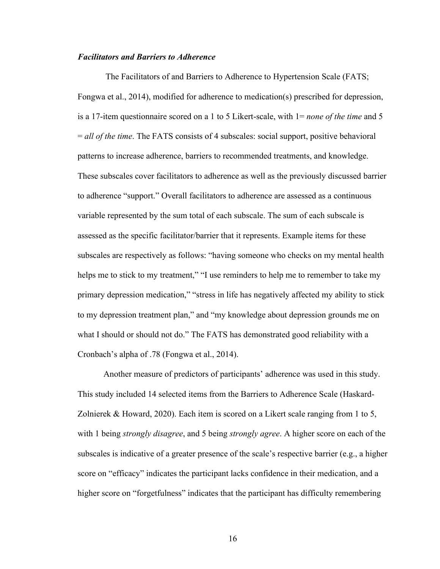#### *Facilitators and Barriers to Adherence*

The Facilitators of and Barriers to Adherence to Hypertension Scale (FATS; Fongwa et al., 2014), modified for adherence to medication(s) prescribed for depression, is a 17-item questionnaire scored on a 1 to 5 Likert-scale, with 1= *none of the time* and 5 = *all of the time*. The FATS consists of 4 subscales: social support, positive behavioral patterns to increase adherence, barriers to recommended treatments, and knowledge. These subscales cover facilitators to adherence as well as the previously discussed barrier to adherence "support." Overall facilitators to adherence are assessed as a continuous variable represented by the sum total of each subscale. The sum of each subscale is assessed as the specific facilitator/barrier that it represents. Example items for these subscales are respectively as follows: "having someone who checks on my mental health helps me to stick to my treatment," "I use reminders to help me to remember to take my primary depression medication," "stress in life has negatively affected my ability to stick to my depression treatment plan," and "my knowledge about depression grounds me on what I should or should not do." The FATS has demonstrated good reliability with a Cronbach's alpha of .78 (Fongwa et al., 2014).

Another measure of predictors of participants' adherence was used in this study. This study included 14 selected items from the Barriers to Adherence Scale (Haskard-Zolnierek & Howard, 2020). Each item is scored on a Likert scale ranging from 1 to 5, with 1 being *strongly disagree*, and 5 being *strongly agree*. A higher score on each of the subscales is indicative of a greater presence of the scale's respective barrier (e.g., a higher score on "efficacy" indicates the participant lacks confidence in their medication, and a higher score on "forgetfulness" indicates that the participant has difficulty remembering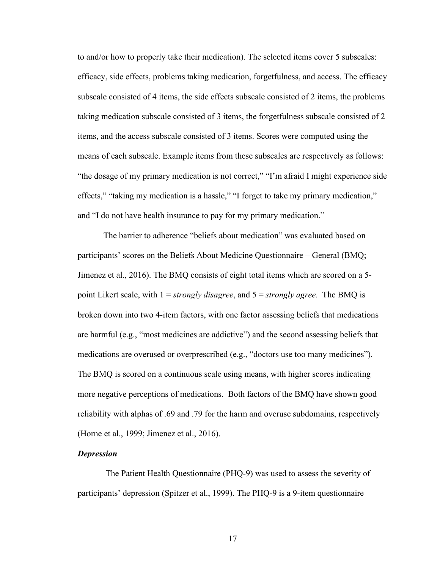to and/or how to properly take their medication). The selected items cover 5 subscales: efficacy, side effects, problems taking medication, forgetfulness, and access. The efficacy subscale consisted of 4 items, the side effects subscale consisted of 2 items, the problems taking medication subscale consisted of 3 items, the forgetfulness subscale consisted of 2 items, and the access subscale consisted of 3 items. Scores were computed using the means of each subscale. Example items from these subscales are respectively as follows: "the dosage of my primary medication is not correct," "I'm afraid I might experience side effects," "taking my medication is a hassle," "I forget to take my primary medication," and "I do not have health insurance to pay for my primary medication."

The barrier to adherence "beliefs about medication" was evaluated based on participants' scores on the Beliefs About Medicine Questionnaire – General (BMQ; Jimenez et al., 2016). The BMQ consists of eight total items which are scored on a 5 point Likert scale, with 1 = *strongly disagree*, and 5 = *strongly agree*. The BMQ is broken down into two 4-item factors, with one factor assessing beliefs that medications are harmful (e.g., "most medicines are addictive") and the second assessing beliefs that medications are overused or overprescribed (e.g., "doctors use too many medicines"). The BMQ is scored on a continuous scale using means, with higher scores indicating more negative perceptions of medications. Both factors of the BMQ have shown good reliability with alphas of .69 and .79 for the harm and overuse subdomains, respectively (Horne et al., 1999; Jimenez et al., 2016).

#### *Depression*

The Patient Health Questionnaire (PHQ-9) was used to assess the severity of participants' depression (Spitzer et al., 1999). The PHQ-9 is a 9-item questionnaire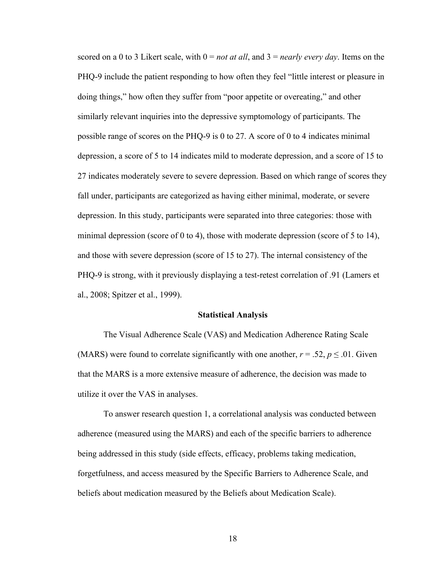scored on a 0 to 3 Likert scale, with 0 = *not at all*, and 3 = *nearly every day*. Items on the PHQ-9 include the patient responding to how often they feel "little interest or pleasure in doing things," how often they suffer from "poor appetite or overeating," and other similarly relevant inquiries into the depressive symptomology of participants. The possible range of scores on the PHQ-9 is 0 to 27. A score of 0 to 4 indicates minimal depression, a score of 5 to 14 indicates mild to moderate depression, and a score of 15 to 27 indicates moderately severe to severe depression. Based on which range of scores they fall under, participants are categorized as having either minimal, moderate, or severe depression. In this study, participants were separated into three categories: those with minimal depression (score of 0 to 4), those with moderate depression (score of 5 to 14), and those with severe depression (score of 15 to 27). The internal consistency of the PHQ-9 is strong, with it previously displaying a test-retest correlation of .91 (Lamers et al., 2008; Spitzer et al., 1999).

#### **Statistical Analysis**

The Visual Adherence Scale (VAS) and Medication Adherence Rating Scale (MARS) were found to correlate significantly with one another,  $r = .52$ ,  $p \le .01$ . Given that the MARS is a more extensive measure of adherence, the decision was made to utilize it over the VAS in analyses.

To answer research question 1, a correlational analysis was conducted between adherence (measured using the MARS) and each of the specific barriers to adherence being addressed in this study (side effects, efficacy, problems taking medication, forgetfulness, and access measured by the Specific Barriers to Adherence Scale, and beliefs about medication measured by the Beliefs about Medication Scale).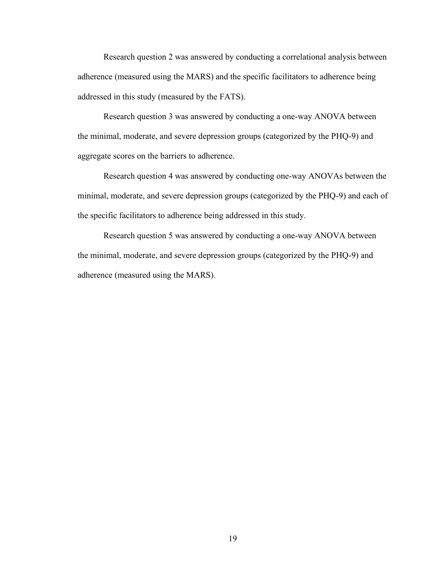Research question 2 was answered by conducting a correlational analysis between adherence (measured using the MARS) and the specific facilitators to adherence being addressed in this study (measured by the FATS).

Research question 3 was answered by conducting a one-way ANOVA between the minimal, moderate, and severe depression groups (categorized by the PHQ-9) and aggregate scores on the barriers to adherence.

Research question 4 was answered by conducting one-way ANOVAs between the minimal, moderate, and severe depression groups (categorized by the PHQ-9) and each of the specific facilitators to adherence being addressed in this study.

Research question 5 was answered by conducting a one-way ANOVA between the minimal, moderate, and severe depression groups (categorized by the PHQ-9) and adherence (measured using the MARS).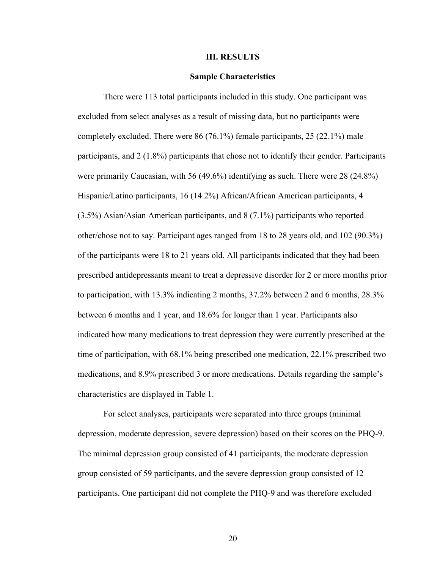#### **III. RESULTS**

#### **Sample Characteristics**

There were 113 total participants included in this study. One participant was excluded from select analyses as a result of missing data, but no participants were completely excluded. There were 86 (76.1%) female participants, 25 (22.1%) male participants, and 2 (1.8%) participants that chose not to identify their gender. Participants were primarily Caucasian, with 56 (49.6%) identifying as such. There were 28 (24.8%) Hispanic/Latino participants, 16 (14.2%) African/African American participants, 4 (3.5%) Asian/Asian American participants, and 8 (7.1%) participants who reported other/chose not to say. Participant ages ranged from 18 to 28 years old, and 102 (90.3%) of the participants were 18 to 21 years old. All participants indicated that they had been prescribed antidepressants meant to treat a depressive disorder for 2 or more months prior to participation, with 13.3% indicating 2 months, 37.2% between 2 and 6 months, 28.3% between 6 months and 1 year, and 18.6% for longer than 1 year. Participants also indicated how many medications to treat depression they were currently prescribed at the time of participation, with 68.1% being prescribed one medication, 22.1% prescribed two medications, and 8.9% prescribed 3 or more medications. Details regarding the sample's characteristics are displayed in Table 1.

For select analyses, participants were separated into three groups (minimal depression, moderate depression, severe depression) based on their scores on the PHQ-9. The minimal depression group consisted of 41 participants, the moderate depression group consisted of 59 participants, and the severe depression group consisted of 12 participants. One participant did not complete the PHQ-9 and was therefore excluded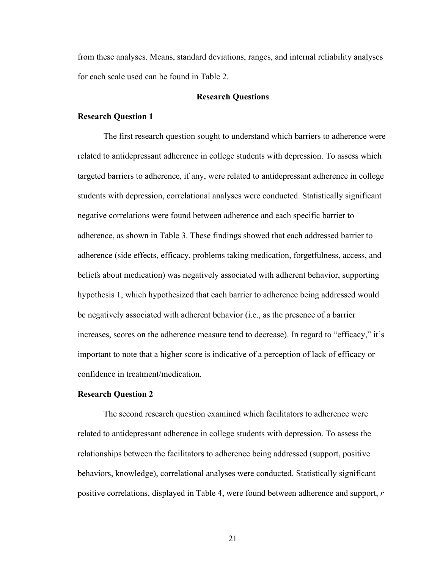from these analyses. Means, standard deviations, ranges, and internal reliability analyses for each scale used can be found in Table 2.

#### **Research Questions**

#### **Research Question 1**

The first research question sought to understand which barriers to adherence were related to antidepressant adherence in college students with depression. To assess which targeted barriers to adherence, if any, were related to antidepressant adherence in college students with depression, correlational analyses were conducted. Statistically significant negative correlations were found between adherence and each specific barrier to adherence, as shown in Table 3. These findings showed that each addressed barrier to adherence (side effects, efficacy, problems taking medication, forgetfulness, access, and beliefs about medication) was negatively associated with adherent behavior, supporting hypothesis 1, which hypothesized that each barrier to adherence being addressed would be negatively associated with adherent behavior (i.e., as the presence of a barrier increases, scores on the adherence measure tend to decrease). In regard to "efficacy," it's important to note that a higher score is indicative of a perception of lack of efficacy or confidence in treatment/medication.

#### **Research Question 2**

The second research question examined which facilitators to adherence were related to antidepressant adherence in college students with depression. To assess the relationships between the facilitators to adherence being addressed (support, positive behaviors, knowledge), correlational analyses were conducted. Statistically significant positive correlations, displayed in Table 4, were found between adherence and support, *r*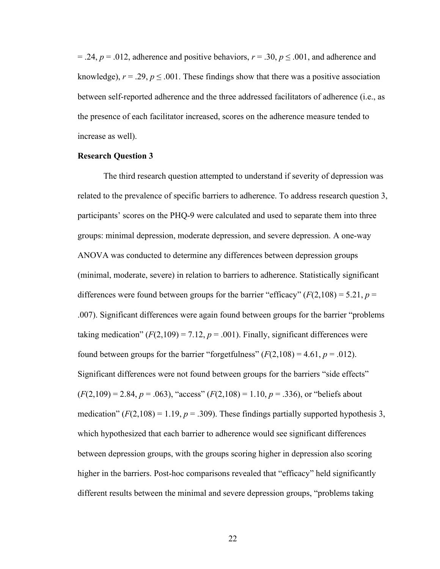$= .24$ ,  $p = .012$ , adherence and positive behaviors,  $r = .30$ ,  $p \le .001$ , and adherence and knowledge),  $r = .29$ ,  $p \le .001$ . These findings show that there was a positive association between self-reported adherence and the three addressed facilitators of adherence (i.e., as the presence of each facilitator increased, scores on the adherence measure tended to increase as well).

#### **Research Question 3**

The third research question attempted to understand if severity of depression was related to the prevalence of specific barriers to adherence. To address research question 3, participants' scores on the PHQ-9 were calculated and used to separate them into three groups: minimal depression, moderate depression, and severe depression. A one-way ANOVA was conducted to determine any differences between depression groups (minimal, moderate, severe) in relation to barriers to adherence. Statistically significant differences were found between groups for the barrier "efficacy"  $(F(2,108) = 5.21, p =$ .007). Significant differences were again found between groups for the barrier "problems taking medication"  $(F(2,109) = 7.12, p = .001)$ . Finally, significant differences were found between groups for the barrier "forgetfulness"  $(F(2,108) = 4.61, p = .012)$ . Significant differences were not found between groups for the barriers "side effects"  $(F(2,109) = 2.84, p = .063)$ , "access"  $(F(2,108) = 1.10, p = .336)$ , or "beliefs about medication"  $(F(2,108) = 1.19, p = .309)$ . These findings partially supported hypothesis 3, which hypothesized that each barrier to adherence would see significant differences between depression groups, with the groups scoring higher in depression also scoring higher in the barriers. Post-hoc comparisons revealed that "efficacy" held significantly different results between the minimal and severe depression groups, "problems taking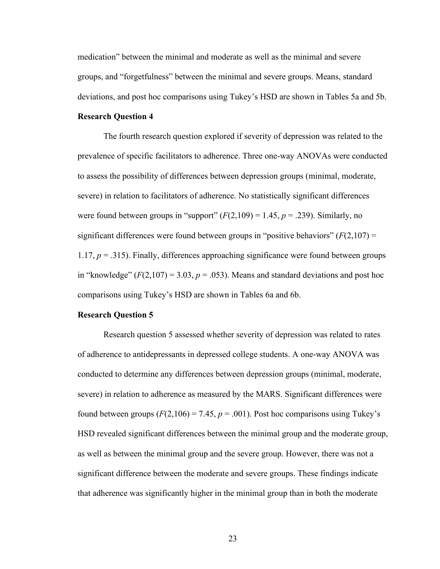medication" between the minimal and moderate as well as the minimal and severe groups, and "forgetfulness" between the minimal and severe groups. Means, standard deviations, and post hoc comparisons using Tukey's HSD are shown in Tables 5a and 5b.

#### **Research Question 4**

The fourth research question explored if severity of depression was related to the prevalence of specific facilitators to adherence. Three one-way ANOVAs were conducted to assess the possibility of differences between depression groups (minimal, moderate, severe) in relation to facilitators of adherence. No statistically significant differences were found between groups in "support"  $(F(2,109) = 1.45, p = .239)$ . Similarly, no significant differences were found between groups in "positive behaviors"  $(F(2,107) =$ 1.17,  $p = 0.315$ ). Finally, differences approaching significance were found between groups in "knowledge"  $(F(2,107) = 3.03, p = .053)$ . Means and standard deviations and post hoc comparisons using Tukey's HSD are shown in Tables 6a and 6b.

#### **Research Question 5**

Research question 5 assessed whether severity of depression was related to rates of adherence to antidepressants in depressed college students. A one-way ANOVA was conducted to determine any differences between depression groups (minimal, moderate, severe) in relation to adherence as measured by the MARS. Significant differences were found between groups  $(F(2,106) = 7.45, p = .001)$ . Post hoc comparisons using Tukey's HSD revealed significant differences between the minimal group and the moderate group, as well as between the minimal group and the severe group. However, there was not a significant difference between the moderate and severe groups. These findings indicate that adherence was significantly higher in the minimal group than in both the moderate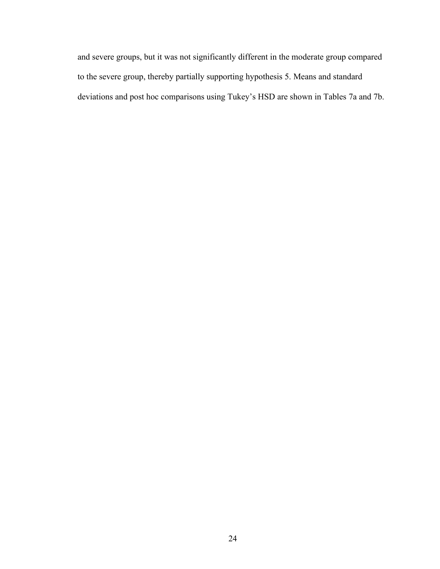and severe groups, but it was not significantly different in the moderate group compared to the severe group, thereby partially supporting hypothesis 5. Means and standard deviations and post hoc comparisons using Tukey's HSD are shown in Tables 7a and 7b.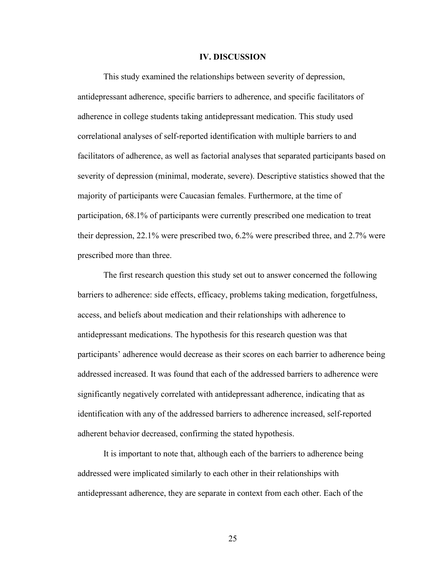#### **IV. DISCUSSION**

This study examined the relationships between severity of depression, antidepressant adherence, specific barriers to adherence, and specific facilitators of adherence in college students taking antidepressant medication. This study used correlational analyses of self-reported identification with multiple barriers to and facilitators of adherence, as well as factorial analyses that separated participants based on severity of depression (minimal, moderate, severe). Descriptive statistics showed that the majority of participants were Caucasian females. Furthermore, at the time of participation, 68.1% of participants were currently prescribed one medication to treat their depression, 22.1% were prescribed two, 6.2% were prescribed three, and 2.7% were prescribed more than three.

The first research question this study set out to answer concerned the following barriers to adherence: side effects, efficacy, problems taking medication, forgetfulness, access, and beliefs about medication and their relationships with adherence to antidepressant medications. The hypothesis for this research question was that participants' adherence would decrease as their scores on each barrier to adherence being addressed increased. It was found that each of the addressed barriers to adherence were significantly negatively correlated with antidepressant adherence, indicating that as identification with any of the addressed barriers to adherence increased, self-reported adherent behavior decreased, confirming the stated hypothesis.

It is important to note that, although each of the barriers to adherence being addressed were implicated similarly to each other in their relationships with antidepressant adherence, they are separate in context from each other. Each of the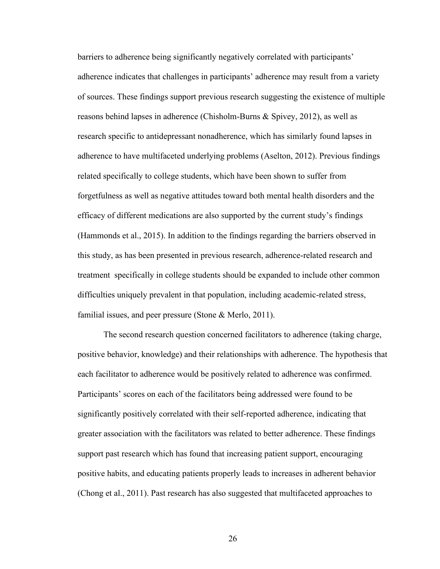barriers to adherence being significantly negatively correlated with participants' adherence indicates that challenges in participants' adherence may result from a variety of sources. These findings support previous research suggesting the existence of multiple reasons behind lapses in adherence (Chisholm-Burns & Spivey, 2012), as well as research specific to antidepressant nonadherence, which has similarly found lapses in adherence to have multifaceted underlying problems (Aselton, 2012). Previous findings related specifically to college students, which have been shown to suffer from forgetfulness as well as negative attitudes toward both mental health disorders and the efficacy of different medications are also supported by the current study's findings (Hammonds et al., 2015). In addition to the findings regarding the barriers observed in this study, as has been presented in previous research, adherence-related research and treatment specifically in college students should be expanded to include other common difficulties uniquely prevalent in that population, including academic-related stress, familial issues, and peer pressure (Stone & Merlo, 2011).

The second research question concerned facilitators to adherence (taking charge, positive behavior, knowledge) and their relationships with adherence. The hypothesis that each facilitator to adherence would be positively related to adherence was confirmed. Participants' scores on each of the facilitators being addressed were found to be significantly positively correlated with their self-reported adherence, indicating that greater association with the facilitators was related to better adherence. These findings support past research which has found that increasing patient support, encouraging positive habits, and educating patients properly leads to increases in adherent behavior (Chong et al., 2011). Past research has also suggested that multifaceted approaches to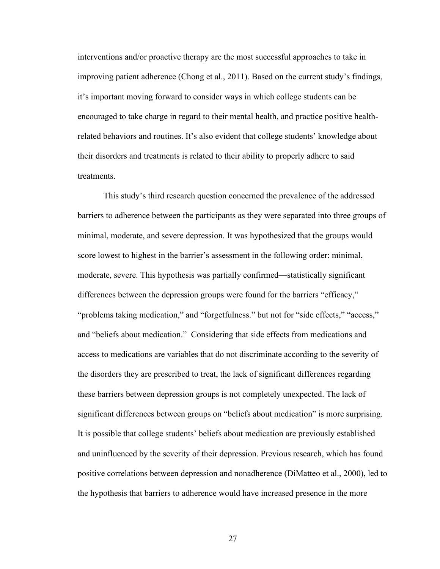interventions and/or proactive therapy are the most successful approaches to take in improving patient adherence (Chong et al., 2011). Based on the current study's findings, it's important moving forward to consider ways in which college students can be encouraged to take charge in regard to their mental health, and practice positive healthrelated behaviors and routines. It's also evident that college students' knowledge about their disorders and treatments is related to their ability to properly adhere to said treatments.

This study's third research question concerned the prevalence of the addressed barriers to adherence between the participants as they were separated into three groups of minimal, moderate, and severe depression. It was hypothesized that the groups would score lowest to highest in the barrier's assessment in the following order: minimal, moderate, severe. This hypothesis was partially confirmed—statistically significant differences between the depression groups were found for the barriers "efficacy," "problems taking medication," and "forgetfulness." but not for "side effects," "access," and "beliefs about medication." Considering that side effects from medications and access to medications are variables that do not discriminate according to the severity of the disorders they are prescribed to treat, the lack of significant differences regarding these barriers between depression groups is not completely unexpected. The lack of significant differences between groups on "beliefs about medication" is more surprising. It is possible that college students' beliefs about medication are previously established and uninfluenced by the severity of their depression. Previous research, which has found positive correlations between depression and nonadherence (DiMatteo et al., 2000), led to the hypothesis that barriers to adherence would have increased presence in the more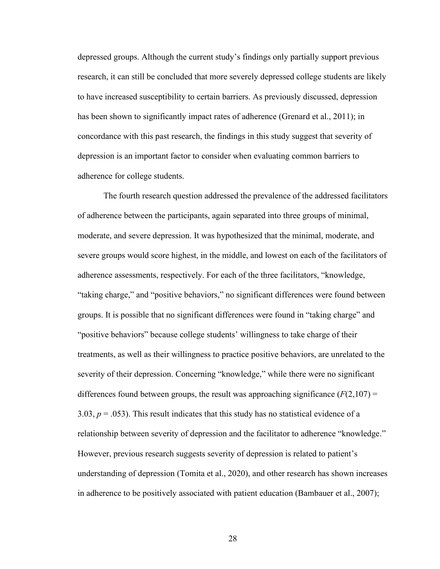depressed groups. Although the current study's findings only partially support previous research, it can still be concluded that more severely depressed college students are likely to have increased susceptibility to certain barriers. As previously discussed, depression has been shown to significantly impact rates of adherence (Grenard et al., 2011); in concordance with this past research, the findings in this study suggest that severity of depression is an important factor to consider when evaluating common barriers to adherence for college students.

The fourth research question addressed the prevalence of the addressed facilitators of adherence between the participants, again separated into three groups of minimal, moderate, and severe depression. It was hypothesized that the minimal, moderate, and severe groups would score highest, in the middle, and lowest on each of the facilitators of adherence assessments, respectively. For each of the three facilitators, "knowledge, "taking charge," and "positive behaviors," no significant differences were found between groups. It is possible that no significant differences were found in "taking charge" and "positive behaviors" because college students' willingness to take charge of their treatments, as well as their willingness to practice positive behaviors, are unrelated to the severity of their depression. Concerning "knowledge," while there were no significant differences found between groups, the result was approaching significance  $(F(2,107) =$ 3.03,  $p = 0.053$ ). This result indicates that this study has no statistical evidence of a relationship between severity of depression and the facilitator to adherence "knowledge." However, previous research suggests severity of depression is related to patient's understanding of depression (Tomita et al., 2020), and other research has shown increases in adherence to be positively associated with patient education (Bambauer et al., 2007);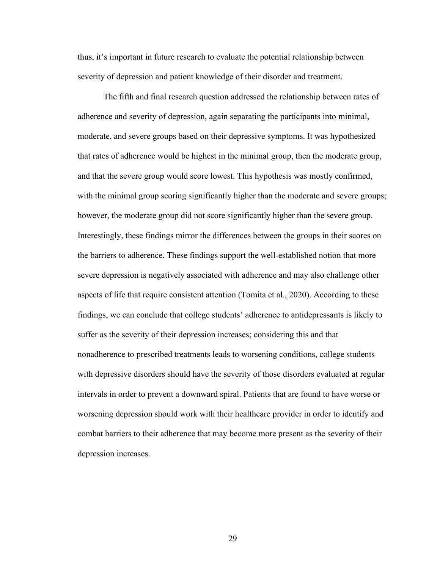thus, it's important in future research to evaluate the potential relationship between severity of depression and patient knowledge of their disorder and treatment.

The fifth and final research question addressed the relationship between rates of adherence and severity of depression, again separating the participants into minimal, moderate, and severe groups based on their depressive symptoms. It was hypothesized that rates of adherence would be highest in the minimal group, then the moderate group, and that the severe group would score lowest. This hypothesis was mostly confirmed, with the minimal group scoring significantly higher than the moderate and severe groups; however, the moderate group did not score significantly higher than the severe group. Interestingly, these findings mirror the differences between the groups in their scores on the barriers to adherence. These findings support the well-established notion that more severe depression is negatively associated with adherence and may also challenge other aspects of life that require consistent attention (Tomita et al., 2020). According to these findings, we can conclude that college students' adherence to antidepressants is likely to suffer as the severity of their depression increases; considering this and that nonadherence to prescribed treatments leads to worsening conditions, college students with depressive disorders should have the severity of those disorders evaluated at regular intervals in order to prevent a downward spiral. Patients that are found to have worse or worsening depression should work with their healthcare provider in order to identify and combat barriers to their adherence that may become more present as the severity of their depression increases.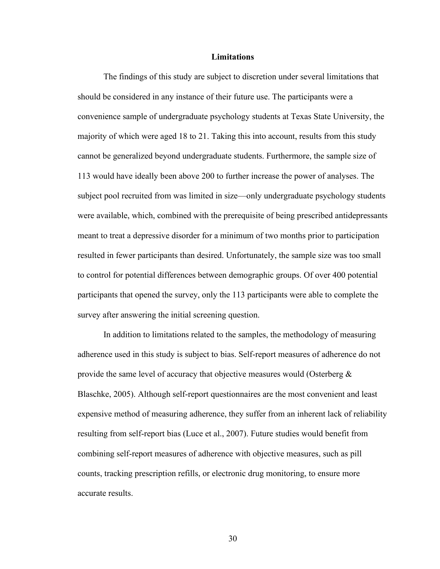#### **Limitations**

The findings of this study are subject to discretion under several limitations that should be considered in any instance of their future use. The participants were a convenience sample of undergraduate psychology students at Texas State University, the majority of which were aged 18 to 21. Taking this into account, results from this study cannot be generalized beyond undergraduate students. Furthermore, the sample size of 113 would have ideally been above 200 to further increase the power of analyses. The subject pool recruited from was limited in size—only undergraduate psychology students were available, which, combined with the prerequisite of being prescribed antidepressants meant to treat a depressive disorder for a minimum of two months prior to participation resulted in fewer participants than desired. Unfortunately, the sample size was too small to control for potential differences between demographic groups. Of over 400 potential participants that opened the survey, only the 113 participants were able to complete the survey after answering the initial screening question.

In addition to limitations related to the samples, the methodology of measuring adherence used in this study is subject to bias. Self-report measures of adherence do not provide the same level of accuracy that objective measures would (Osterberg  $\&$ Blaschke, 2005). Although self-report questionnaires are the most convenient and least expensive method of measuring adherence, they suffer from an inherent lack of reliability resulting from self-report bias (Luce et al., 2007). Future studies would benefit from combining self-report measures of adherence with objective measures, such as pill counts, tracking prescription refills, or electronic drug monitoring, to ensure more accurate results.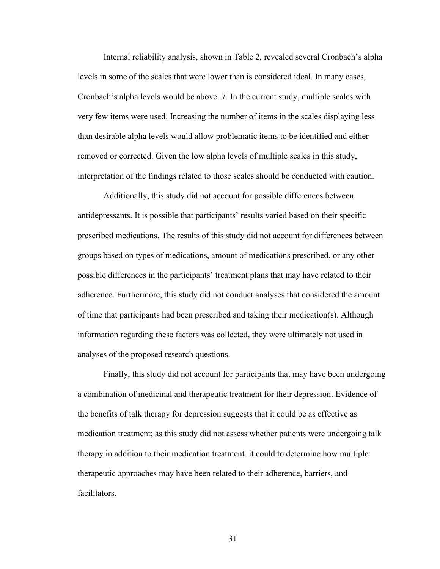Internal reliability analysis, shown in Table 2, revealed several Cronbach's alpha levels in some of the scales that were lower than is considered ideal. In many cases, Cronbach's alpha levels would be above .7. In the current study, multiple scales with very few items were used. Increasing the number of items in the scales displaying less than desirable alpha levels would allow problematic items to be identified and either removed or corrected. Given the low alpha levels of multiple scales in this study, interpretation of the findings related to those scales should be conducted with caution.

Additionally, this study did not account for possible differences between antidepressants. It is possible that participants' results varied based on their specific prescribed medications. The results of this study did not account for differences between groups based on types of medications, amount of medications prescribed, or any other possible differences in the participants' treatment plans that may have related to their adherence. Furthermore, this study did not conduct analyses that considered the amount of time that participants had been prescribed and taking their medication(s). Although information regarding these factors was collected, they were ultimately not used in analyses of the proposed research questions.

Finally, this study did not account for participants that may have been undergoing a combination of medicinal and therapeutic treatment for their depression. Evidence of the benefits of talk therapy for depression suggests that it could be as effective as medication treatment; as this study did not assess whether patients were undergoing talk therapy in addition to their medication treatment, it could to determine how multiple therapeutic approaches may have been related to their adherence, barriers, and facilitators.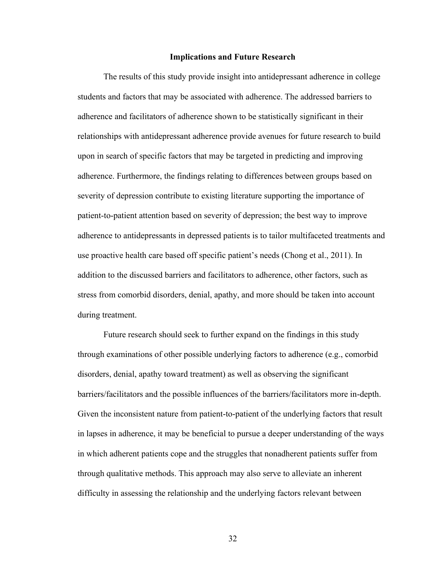#### **Implications and Future Research**

The results of this study provide insight into antidepressant adherence in college students and factors that may be associated with adherence. The addressed barriers to adherence and facilitators of adherence shown to be statistically significant in their relationships with antidepressant adherence provide avenues for future research to build upon in search of specific factors that may be targeted in predicting and improving adherence. Furthermore, the findings relating to differences between groups based on severity of depression contribute to existing literature supporting the importance of patient-to-patient attention based on severity of depression; the best way to improve adherence to antidepressants in depressed patients is to tailor multifaceted treatments and use proactive health care based off specific patient's needs (Chong et al., 2011). In addition to the discussed barriers and facilitators to adherence, other factors, such as stress from comorbid disorders, denial, apathy, and more should be taken into account during treatment.

Future research should seek to further expand on the findings in this study through examinations of other possible underlying factors to adherence (e.g., comorbid disorders, denial, apathy toward treatment) as well as observing the significant barriers/facilitators and the possible influences of the barriers/facilitators more in-depth. Given the inconsistent nature from patient-to-patient of the underlying factors that result in lapses in adherence, it may be beneficial to pursue a deeper understanding of the ways in which adherent patients cope and the struggles that nonadherent patients suffer from through qualitative methods. This approach may also serve to alleviate an inherent difficulty in assessing the relationship and the underlying factors relevant between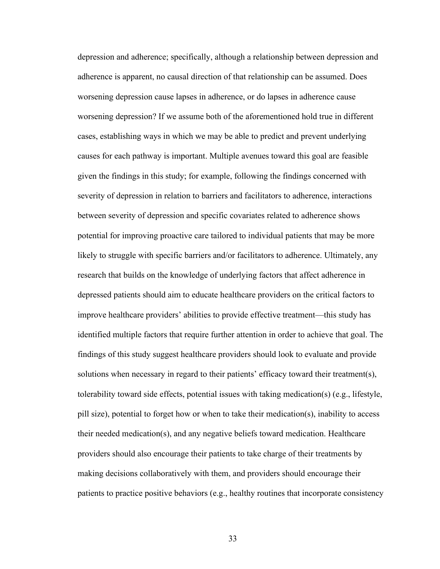depression and adherence; specifically, although a relationship between depression and adherence is apparent, no causal direction of that relationship can be assumed. Does worsening depression cause lapses in adherence, or do lapses in adherence cause worsening depression? If we assume both of the aforementioned hold true in different cases, establishing ways in which we may be able to predict and prevent underlying causes for each pathway is important. Multiple avenues toward this goal are feasible given the findings in this study; for example, following the findings concerned with severity of depression in relation to barriers and facilitators to adherence, interactions between severity of depression and specific covariates related to adherence shows potential for improving proactive care tailored to individual patients that may be more likely to struggle with specific barriers and/or facilitators to adherence. Ultimately, any research that builds on the knowledge of underlying factors that affect adherence in depressed patients should aim to educate healthcare providers on the critical factors to improve healthcare providers' abilities to provide effective treatment—this study has identified multiple factors that require further attention in order to achieve that goal. The findings of this study suggest healthcare providers should look to evaluate and provide solutions when necessary in regard to their patients' efficacy toward their treatment(s), tolerability toward side effects, potential issues with taking medication(s) (e.g., lifestyle, pill size), potential to forget how or when to take their medication(s), inability to access their needed medication(s), and any negative beliefs toward medication. Healthcare providers should also encourage their patients to take charge of their treatments by making decisions collaboratively with them, and providers should encourage their patients to practice positive behaviors (e.g., healthy routines that incorporate consistency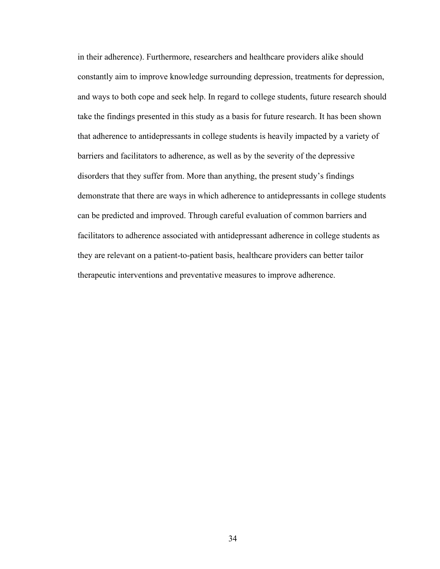in their adherence). Furthermore, researchers and healthcare providers alike should constantly aim to improve knowledge surrounding depression, treatments for depression, and ways to both cope and seek help. In regard to college students, future research should take the findings presented in this study as a basis for future research. It has been shown that adherence to antidepressants in college students is heavily impacted by a variety of barriers and facilitators to adherence, as well as by the severity of the depressive disorders that they suffer from. More than anything, the present study's findings demonstrate that there are ways in which adherence to antidepressants in college students can be predicted and improved. Through careful evaluation of common barriers and facilitators to adherence associated with antidepressant adherence in college students as they are relevant on a patient-to-patient basis, healthcare providers can better tailor therapeutic interventions and preventative measures to improve adherence.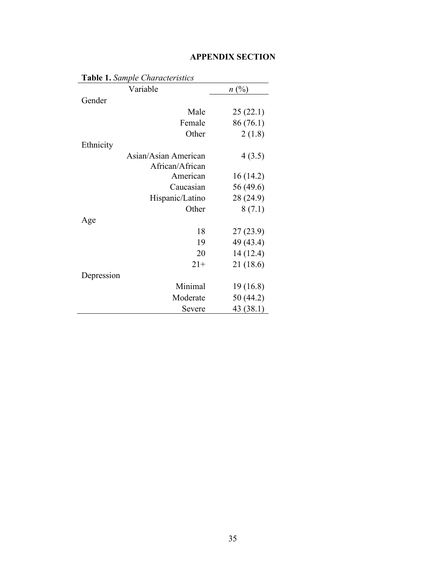|            | <b>Table 1.</b> Sample Characteristics |           |
|------------|----------------------------------------|-----------|
|            | Variable                               | n(%)      |
| Gender     |                                        |           |
|            | Male                                   | 25(22.1)  |
|            | Female                                 | 86 (76.1) |
|            | Other                                  | 2(1.8)    |
| Ethnicity  |                                        |           |
|            | Asian/Asian American                   | 4(3.5)    |
|            | African/African                        |           |
|            | American                               | 16(14.2)  |
|            | Caucasian                              | 56 (49.6) |
|            | Hispanic/Latino                        | 28 (24.9) |
|            | Other                                  | 8(7.1)    |
| Age        |                                        |           |
|            | 18                                     | 27(23.9)  |
|            | 19                                     | 49 (43.4) |
|            | 20                                     | 14 (12.4) |
|            | $21+$                                  | 21 (18.6) |
| Depression |                                        |           |
|            | Minimal                                | 19(16.8)  |
|            | Moderate                               | 50 (44.2) |
|            | Severe                                 | 43 (38.1) |

# **APPENDIX SECTION**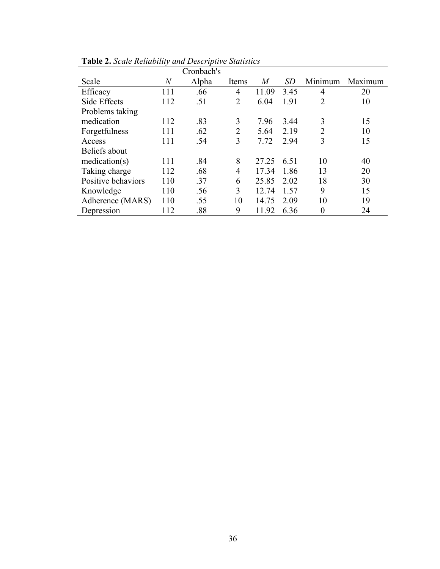|                    |       | Cronbach's |                |       |      |                |         |
|--------------------|-------|------------|----------------|-------|------|----------------|---------|
| Scale              | $\,N$ | Alpha      | Items          | M     | SD   | Minimum        | Maximum |
| Efficacy           | 111   | .66        | 4              | 11.09 | 3.45 | 4              | 20      |
| Side Effects       | 112   | .51        | $\overline{2}$ | 6.04  | 1.91 | $\overline{2}$ | 10      |
| Problems taking    |       |            |                |       |      |                |         |
| medication         | 112   | .83        | 3              | 7.96  | 3.44 | 3              | 15      |
| Forgetfulness      | 111   | .62        | $\overline{2}$ | 5.64  | 2.19 | $\overline{2}$ | 10      |
| Access             | 111   | .54        | 3              | 7.72  | 2.94 | 3              | 15      |
| Beliefs about      |       |            |                |       |      |                |         |
| mediation(s)       | 111   | .84        | 8              | 27.25 | 6.51 | 10             | 40      |
| Taking charge      | 112   | .68        | $\overline{4}$ | 17.34 | 1.86 | 13             | 20      |
| Positive behaviors | 110   | .37        | 6              | 25.85 | 2.02 | 18             | 30      |
| Knowledge          | 110   | .56        | 3              | 12.74 | 1.57 | 9              | 15      |
| Adherence (MARS)   | 110   | .55        | 10             | 14.75 | 2.09 | 10             | 19      |
| Depression         | 112   | .88        | 9              | 11.92 | 6.36 | 0              | 24      |

**Table 2.** *Scale Reliability and Descriptive Statistics*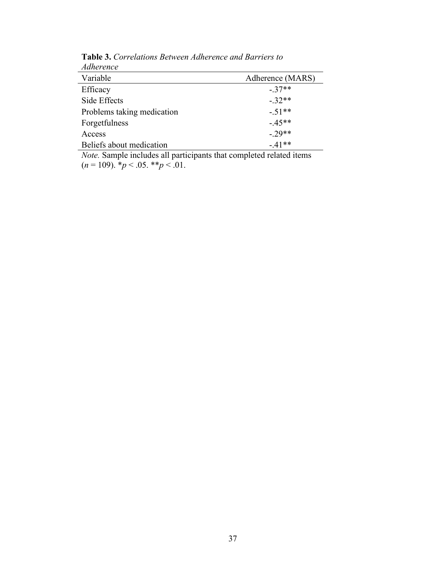| <i>Aunerence</i>           |                  |
|----------------------------|------------------|
| Variable                   | Adherence (MARS) |
| Efficacy                   | $-37**$          |
| Side Effects               | $-32**$          |
| Problems taking medication | $-.51**$         |
| Forgetfulness              | $-45**$          |
| Access                     | $-29**$          |
| Beliefs about medication   | $-41**$          |

**Table 3.** *Correlations Between Adherence and Barriers to Adherence*

*Note.* Sample includes all participants that completed related items  $(n = 109)$ .  $\frac{b}{p} < .05$ .  $\frac{b}{p} < .01$ .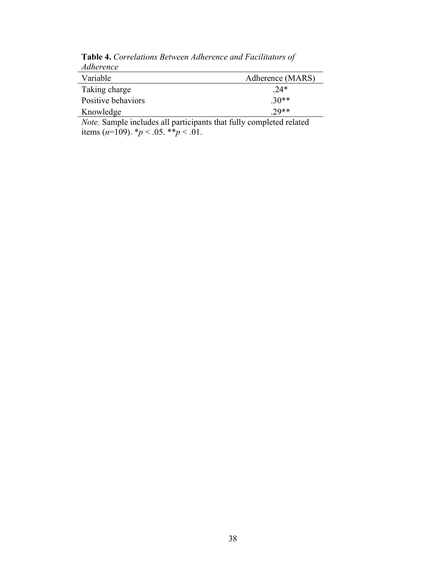| Adherence          |                  |
|--------------------|------------------|
| Variable           | Adherence (MARS) |
| Taking charge      | $.24*$           |
| Positive behaviors | $30**$           |
| Knowledge          | $29**$           |

**Table 4.** *Correlations Between Adherence and Facilitators of Adherence*

*Note.* Sample includes all participants that fully completed related items  $(n=109)$ .  $\frac{p}{6}$  < .05.  $\frac{p}{6}$  × .01.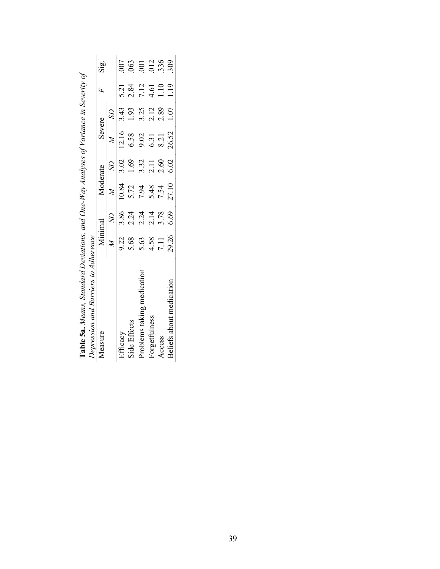| Depression and Barriers to Adherence |         |      |          |                            |                      |                             |      |                  |
|--------------------------------------|---------|------|----------|----------------------------|----------------------|-----------------------------|------|------------------|
| aure /                               | Minimal |      | Moderate |                            | Severe               |                             |      | $rac{a}{b}$      |
|                                      |         |      |          |                            |                      |                             |      |                  |
|                                      | 9.22    | 3.86 | 10.84    | 3.02                       | 12.16                | 3.43                        | 5.21 |                  |
| ide Effects                          | 5.68    | 2.24 | 5.72     | 1.69                       | 6.58                 | 1.93                        | 2.84 |                  |
| roblems taking medica                | 5.63    | 2.24 | 7.94     |                            |                      |                             | 7.12 | 85<br>852<br>368 |
| orgettulness                         | 4.58    | 2.14 | 5.48     | $3.32$<br>$2.11$<br>$2.60$ | 9.31<br>6.31<br>8.21 | $3.\overline{2}.12$<br>2.39 | 4.61 |                  |
| <b>ACCESS</b>                        | 7.11    | 3.78 | 7.54     |                            |                      |                             | 1.10 |                  |
| Beliefs about med                    | 29.26   | 6.69 | 27.10    | 6.02                       | 26.52                | 1.07                        | 119  |                  |
|                                      |         |      |          |                            |                      |                             |      |                  |

Table 5a. Means, Standard Deviations, and One-Way Analyses of Variance in Severity of **Table 5a.** *Means, Standard Deviations, and One-Way Analyses of Variance in Severity of*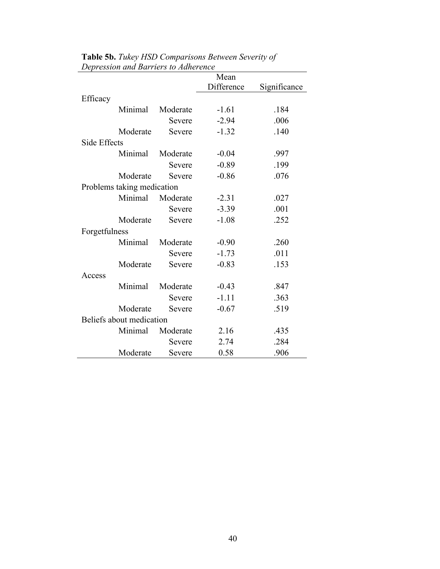|               |                            |          | Mean       |              |
|---------------|----------------------------|----------|------------|--------------|
|               |                            |          | Difference | Significance |
| Efficacy      |                            |          |            |              |
|               | Minimal                    | Moderate | $-1.61$    | .184         |
|               |                            | Severe   | $-2.94$    | .006         |
|               | Moderate                   | Severe   | $-1.32$    | .140         |
| Side Effects  |                            |          |            |              |
|               | Minimal                    | Moderate | $-0.04$    | .997         |
|               |                            | Severe   | $-0.89$    | .199         |
|               | Moderate                   | Severe   | $-0.86$    | .076         |
|               | Problems taking medication |          |            |              |
|               | Minimal                    | Moderate | $-2.31$    | .027         |
|               |                            | Severe   | $-3.39$    | .001         |
|               | Moderate                   | Severe   | $-1.08$    | .252         |
| Forgetfulness |                            |          |            |              |
|               | Minimal                    | Moderate | $-0.90$    | .260         |
|               |                            | Severe   | $-1.73$    | .011         |
|               | Moderate                   | Severe   | $-0.83$    | .153         |
| Access        |                            |          |            |              |
|               | Minimal                    | Moderate | $-0.43$    | .847         |
|               |                            | Severe   | $-1.11$    | .363         |
|               | Moderate                   | Severe   | $-0.67$    | .519         |
|               | Beliefs about medication   |          |            |              |
|               | Minimal                    | Moderate | 2.16       | .435         |
|               |                            | Severe   | 2.74       | .284         |
|               | Moderate                   | Severe   | 0.58       | .906         |

**Table 5b.** *Tukey HSD Comparisons Between Severity of Depression and Barriers to Adherence*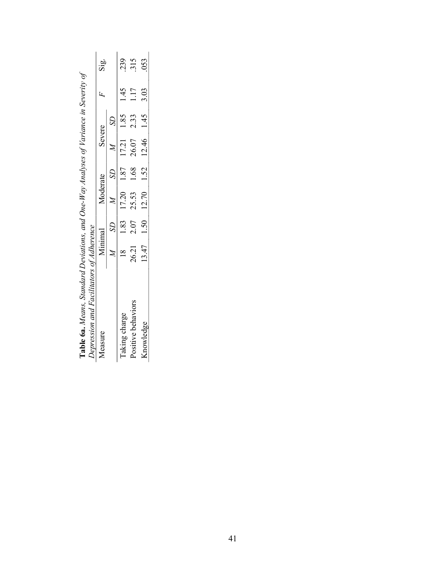| Depression and Facilitators of Adherence |         |      |                                              |            |      |         |
|------------------------------------------|---------|------|----------------------------------------------|------------|------|---------|
| <b>1casure</b>                           | Minimal |      | Moderate                                     | Severe     |      | άg<br>Κ |
|                                          |         |      |                                              |            |      |         |
| Taking charge                            |         |      | 1.83 17.20 1.87 17.21 1.85                   |            | 1.45 | .239    |
| Positive behavio                         | 26.21   | 2.07 | 25.53 1.68                                   | 26.07 2.33 | 1.17 | 315     |
| Snowledge                                |         |      | $13.47$ $1.50$ $12.70$ $1.52$ $12.46$ $1.45$ |            | 3.03 | .053    |
|                                          |         |      |                                              |            |      |         |

Table 6a. Means, Standard Deviations, and One-Way Analyses of Variance in Severity of **Table 6a.** *Means, Standard Deviations, and One-Way Analyses of Variance in Severity of*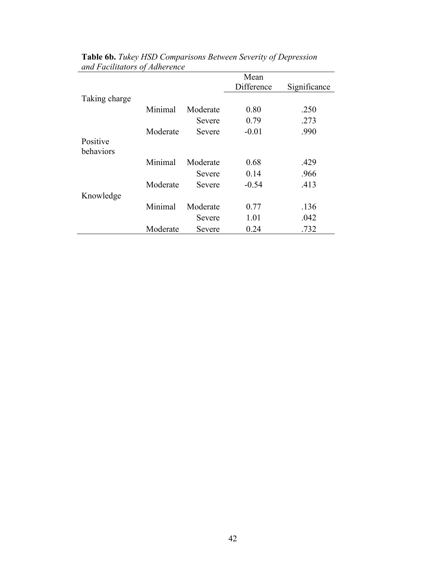|                       |          |          | Mean       |              |
|-----------------------|----------|----------|------------|--------------|
|                       |          |          | Difference | Significance |
| Taking charge         |          |          |            |              |
|                       | Minimal  | Moderate | 0.80       | .250         |
|                       |          | Severe   | 0.79       | .273         |
|                       | Moderate | Severe   | $-0.01$    | .990         |
| Positive<br>behaviors |          |          |            |              |
|                       | Minimal  | Moderate | 0.68       | .429         |
|                       |          | Severe   | 0.14       | .966         |
|                       | Moderate | Severe   | $-0.54$    | .413         |
| Knowledge             |          |          |            |              |
|                       | Minimal  | Moderate | 0.77       | .136         |
|                       |          | Severe   | 1.01       | .042         |
|                       | Moderate | Severe   | 0.24       | .732         |

**Table 6b.** *Tukey HSD Comparisons Between Severity of Depression and Facilitators of Adherence*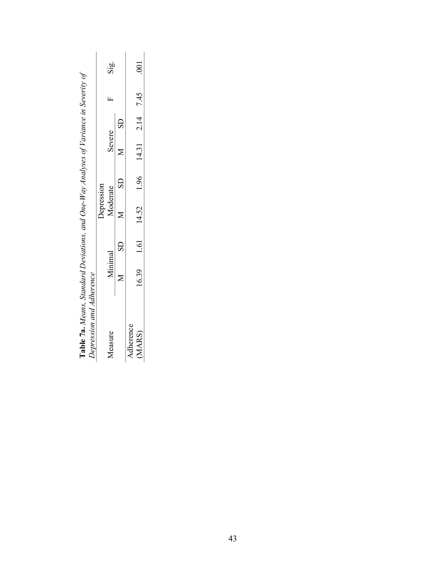|           |         |                | Depression                            |               |        |                        |   |               |
|-----------|---------|----------------|---------------------------------------|---------------|--------|------------------------|---|---------------|
| Measure   | Minimal |                | Moderate                              |               | Severe |                        | Ľ | Sig.          |
|           |         | $\overline{S}$ |                                       | $\frac{1}{2}$ |        | $\overline{\text{SD}}$ |   |               |
| Adherence |         |                |                                       |               |        |                        |   |               |
| (MARS)    |         |                | 16.39 1.61 14.52 1.96 14.31 2.14 7.45 |               |        |                        |   | $\frac{1}{2}$ |

| $\sim 7a$<br>.<br>֧֖֖֖֧֚֚֚֚֚֚֚֚֚֚֚֚֚֚֚֚֝֡֓֡֓֡֡֬֓ <u>֓</u> | - uns, Standard Deviations, and One-Way Analyses of Variance in Severity or |  |
|-----------------------------------------------------------|-----------------------------------------------------------------------------|--|
| DEN ESSION UNU AUNEI ENL<br>an non no                     |                                                                             |  |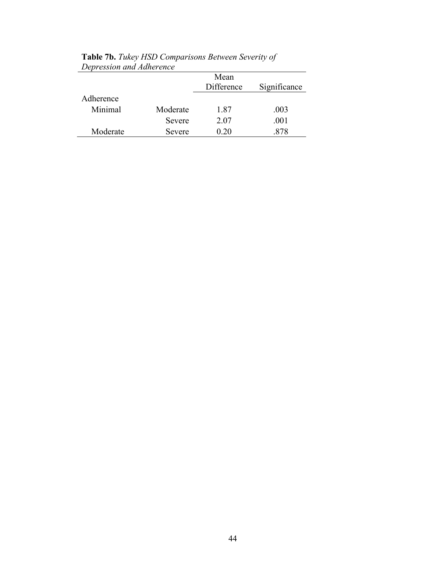|           |          | Mean<br>Difference | Significance |
|-----------|----------|--------------------|--------------|
| Adherence |          |                    |              |
| Minimal   | Moderate | 1.87               | .003         |
|           | Severe   | 2.07               | .001         |
| Moderate  | Severe   | 0.20               |              |

**Table 7b.** *Tukey HSD Comparisons Between Severity of Depression and Adherence*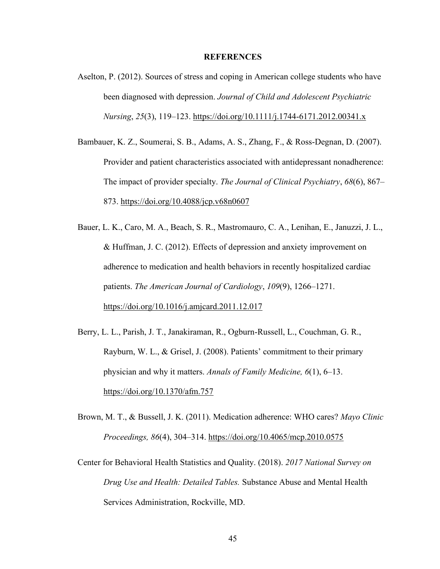#### **REFERENCES**

- Aselton, P. (2012). Sources of stress and coping in American college students who have been diagnosed with depression. *Journal of Child and Adolescent Psychiatric Nursing*, *25*(3), 119–123. https://doi.org/10.1111/j.1744-6171.2012.00341.x
- Bambauer, K. Z., Soumerai, S. B., Adams, A. S., Zhang, F., & Ross-Degnan, D. (2007). Provider and patient characteristics associated with antidepressant nonadherence: The impact of provider specialty. *The Journal of Clinical Psychiatry*, *68*(6), 867– 873. https://doi.org/10.4088/jcp.v68n0607
- Bauer, L. K., Caro, M. A., Beach, S. R., Mastromauro, C. A., Lenihan, E., Januzzi, J. L., & Huffman, J. C. (2012). Effects of depression and anxiety improvement on adherence to medication and health behaviors in recently hospitalized cardiac patients. *The American Journal of Cardiology*, *109*(9), 1266–1271. https://doi.org/10.1016/j.amjcard.2011.12.017
- Berry, L. L., Parish, J. T., Janakiraman, R., Ogburn-Russell, L., Couchman, G. R., Rayburn, W. L., & Grisel, J. (2008). Patients' commitment to their primary physician and why it matters. *Annals of Family Medicine, 6*(1), 6–13. https://doi.org/10.1370/afm.757
- Brown, M. T., & Bussell, J. K. (2011). Medication adherence: WHO cares? *Mayo Clinic Proceedings, 86*(4), 304–314. https://doi.org/10.4065/mcp.2010.0575
- Center for Behavioral Health Statistics and Quality. (2018). *2017 National Survey on Drug Use and Health: Detailed Tables.* Substance Abuse and Mental Health Services Administration, Rockville, MD.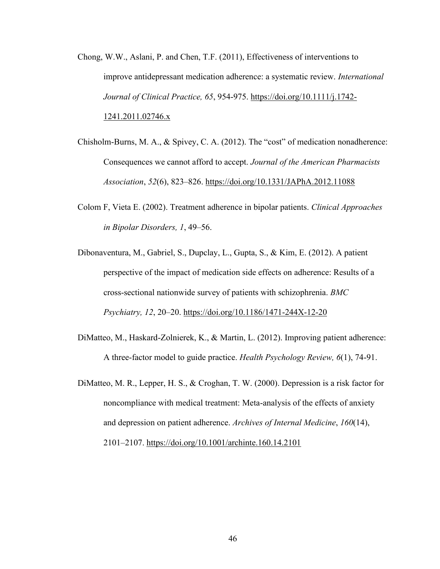- Chong, W.W., Aslani, P. and Chen, T.F. (2011), Effectiveness of interventions to improve antidepressant medication adherence: a systematic review. *International Journal of Clinical Practice, 65*, 954-975. https://doi.org/10.1111/j.1742- 1241.2011.02746.x
- Chisholm-Burns, M. A., & Spivey, C. A. (2012). The "cost" of medication nonadherence: Consequences we cannot afford to accept. *Journal of the American Pharmacists Association*, *52*(6), 823–826. https://doi.org/10.1331/JAPhA.2012.11088
- Colom F, Vieta E. (2002). Treatment adherence in bipolar patients. *Clinical Approaches in Bipolar Disorders, 1*, 49–56.
- Dibonaventura, M., Gabriel, S., Dupclay, L., Gupta, S., & Kim, E. (2012). A patient perspective of the impact of medication side effects on adherence: Results of a cross-sectional nationwide survey of patients with schizophrenia. *BMC Psychiatry, 12*, 20–20. https://doi.org/10.1186/1471-244X-12-20
- DiMatteo, M., Haskard-Zolnierek, K., & Martin, L. (2012). Improving patient adherence: A three-factor model to guide practice. *Health Psychology Review, 6*(1), 74-91.
- DiMatteo, M. R., Lepper, H. S., & Croghan, T. W. (2000). Depression is a risk factor for noncompliance with medical treatment: Meta-analysis of the effects of anxiety and depression on patient adherence. *Archives of Internal Medicine*, *160*(14), 2101–2107. https://doi.org/10.1001/archinte.160.14.2101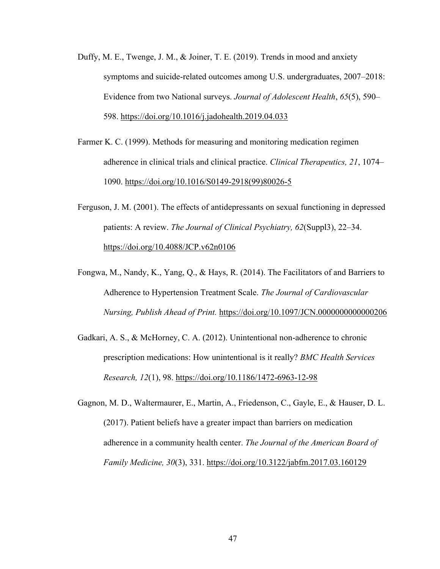- Duffy, M. E., Twenge, J. M., & Joiner, T. E. (2019). Trends in mood and anxiety symptoms and suicide-related outcomes among U.S. undergraduates, 2007–2018: Evidence from two National surveys. *Journal of Adolescent Health*, *65*(5), 590– 598. https://doi.org/10.1016/j.jadohealth.2019.04.033
- Farmer K. C. (1999). Methods for measuring and monitoring medication regimen adherence in clinical trials and clinical practice. *Clinical Therapeutics, 21*, 1074– 1090. https://doi.org/10.1016/S0149-2918(99)80026-5
- Ferguson, J. M. (2001). The effects of antidepressants on sexual functioning in depressed patients: A review. *The Journal of Clinical Psychiatry, 62*(Suppl3), 22–34. https://doi.org/10.4088/JCP.v62n0106
- Fongwa, M., Nandy, K., Yang, Q., & Hays, R. (2014). The Facilitators of and Barriers to Adherence to Hypertension Treatment Scale. *The Journal of Cardiovascular Nursing, Publish Ahead of Print.* https://doi.org/10.1097/JCN.0000000000000206
- Gadkari, A. S., & McHorney, C. A. (2012). Unintentional non-adherence to chronic prescription medications: How unintentional is it really? *BMC Health Services Research, 12*(1), 98. https://doi.org/10.1186/1472-6963-12-98
- Gagnon, M. D., Waltermaurer, E., Martin, A., Friedenson, C., Gayle, E., & Hauser, D. L. (2017). Patient beliefs have a greater impact than barriers on medication adherence in a community health center. *The Journal of the American Board of Family Medicine, 30*(3), 331. https://doi.org/10.3122/jabfm.2017.03.160129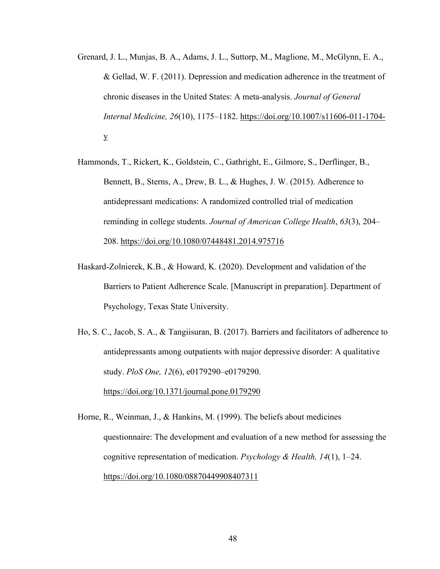- Grenard, J. L., Munjas, B. A., Adams, J. L., Suttorp, M., Maglione, M., McGlynn, E. A., & Gellad, W. F. (2011). Depression and medication adherence in the treatment of chronic diseases in the United States: A meta-analysis. *Journal of General Internal Medicine, 26*(10), 1175–1182. https://doi.org/10.1007/s11606-011-1704 y
- Hammonds, T., Rickert, K., Goldstein, C., Gathright, E., Gilmore, S., Derflinger, B., Bennett, B., Sterns, A., Drew, B. L., & Hughes, J. W. (2015). Adherence to antidepressant medications: A randomized controlled trial of medication reminding in college students. *Journal of American College Health*, *63*(3), 204– 208. https://doi.org/10.1080/07448481.2014.975716
- Haskard-Zolnierek, K.B., & Howard, K. (2020). Development and validation of the Barriers to Patient Adherence Scale. [Manuscript in preparation]. Department of Psychology, Texas State University.
- Ho, S. C., Jacob, S. A., & Tangiisuran, B. (2017). Barriers and facilitators of adherence to antidepressants among outpatients with major depressive disorder: A qualitative study. *PloS One, 12*(6), e0179290–e0179290. https://doi.org/10.1371/journal.pone.0179290
- Horne, R., Weinman, J., & Hankins, M. (1999). The beliefs about medicines questionnaire: The development and evaluation of a new method for assessing the cognitive representation of medication. *Psychology & Health, 14*(1), 1–24. https://doi.org/10.1080/08870449908407311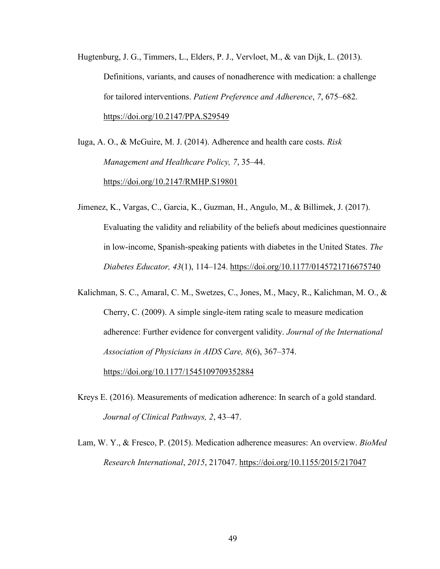Hugtenburg, J. G., Timmers, L., Elders, P. J., Vervloet, M., & van Dijk, L. (2013). Definitions, variants, and causes of nonadherence with medication: a challenge for tailored interventions. *Patient Preference and Adherence*, *7*, 675–682. https://doi.org/10.2147/PPA.S29549

Iuga, A. O., & McGuire, M. J. (2014). Adherence and health care costs. *Risk Management and Healthcare Policy, 7*, 35–44. https://doi.org/10.2147/RMHP.S19801

Jimenez, K., Vargas, C., Garcia, K., Guzman, H., Angulo, M., & Billimek, J. (2017). Evaluating the validity and reliability of the beliefs about medicines questionnaire in low-income, Spanish-speaking patients with diabetes in the United States. *The Diabetes Educator, 43*(1), 114–124. https://doi.org/10.1177/0145721716675740

Kalichman, S. C., Amaral, C. M., Swetzes, C., Jones, M., Macy, R., Kalichman, M. O., & Cherry, C. (2009). A simple single-item rating scale to measure medication adherence: Further evidence for convergent validity. *Journal of the International Association of Physicians in AIDS Care, 8*(6), 367–374.

https://doi.org/10.1177/1545109709352884

- Kreys E. (2016). Measurements of medication adherence: In search of a gold standard. *Journal of Clinical Pathways, 2*, 43–47.
- Lam, W. Y., & Fresco, P. (2015). Medication adherence measures: An overview. *BioMed Research International*, *2015*, 217047. https://doi.org/10.1155/2015/217047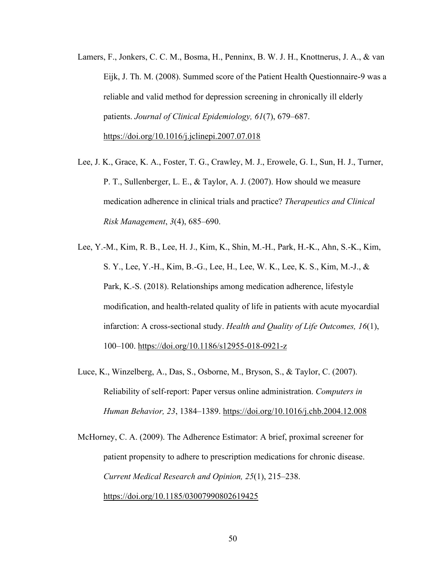- Lamers, F., Jonkers, C. C. M., Bosma, H., Penninx, B. W. J. H., Knottnerus, J. A., & van Eijk, J. Th. M. (2008). Summed score of the Patient Health Questionnaire-9 was a reliable and valid method for depression screening in chronically ill elderly patients. *Journal of Clinical Epidemiology, 61*(7), 679–687. https://doi.org/10.1016/j.jclinepi.2007.07.018
- Lee, J. K., Grace, K. A., Foster, T. G., Crawley, M. J., Erowele, G. I., Sun, H. J., Turner, P. T., Sullenberger, L. E., & Taylor, A. J. (2007). How should we measure medication adherence in clinical trials and practice? *Therapeutics and Clinical Risk Management*, *3*(4), 685–690.
- Lee, Y.-M., Kim, R. B., Lee, H. J., Kim, K., Shin, M.-H., Park, H.-K., Ahn, S.-K., Kim, S. Y., Lee, Y.-H., Kim, B.-G., Lee, H., Lee, W. K., Lee, K. S., Kim, M.-J., & Park, K.-S. (2018). Relationships among medication adherence, lifestyle modification, and health-related quality of life in patients with acute myocardial infarction: A cross-sectional study. *Health and Quality of Life Outcomes, 16*(1), 100–100. https://doi.org/10.1186/s12955-018-0921-z
- Luce, K., Winzelberg, A., Das, S., Osborne, M., Bryson, S., & Taylor, C. (2007). Reliability of self-report: Paper versus online administration. *Computers in Human Behavior, 23*, 1384–1389. https://doi.org/10.1016/j.chb.2004.12.008

McHorney, C. A. (2009). The Adherence Estimator: A brief, proximal screener for patient propensity to adhere to prescription medications for chronic disease. *Current Medical Research and Opinion, 25*(1), 215–238. https://doi.org/10.1185/03007990802619425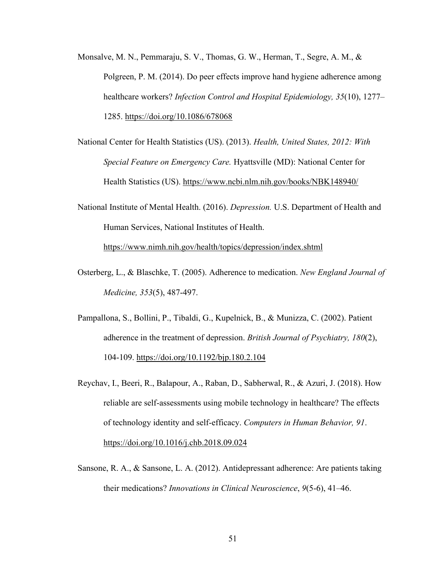- Monsalve, M. N., Pemmaraju, S. V., Thomas, G. W., Herman, T., Segre, A. M., & Polgreen, P. M. (2014). Do peer effects improve hand hygiene adherence among healthcare workers? *Infection Control and Hospital Epidemiology, 35*(10), 1277– 1285. https://doi.org/10.1086/678068
- National Center for Health Statistics (US). (2013). *Health, United States, 2012: With Special Feature on Emergency Care.* Hyattsville (MD): National Center for Health Statistics (US). https://www.ncbi.nlm.nih.gov/books/NBK148940/
- National Institute of Mental Health. (2016). *Depression.* U.S. Department of Health and Human Services, National Institutes of Health. https://www.nimh.nih.gov/health/topics/depression/index.shtml
- Osterberg, L., & Blaschke, T. (2005). Adherence to medication. *New England Journal of Medicine, 353*(5), 487-497.
- Pampallona, S., Bollini, P., Tibaldi, G., Kupelnick, B., & Munizza, C. (2002). Patient adherence in the treatment of depression. *British Journal of Psychiatry, 180*(2), 104-109. https://doi.org/10.1192/bjp.180.2.104
- Reychav, I., Beeri, R., Balapour, A., Raban, D., Sabherwal, R., & Azuri, J. (2018). How reliable are self-assessments using mobile technology in healthcare? The effects of technology identity and self-efficacy. *Computers in Human Behavior, 91*. https://doi.org/10.1016/j.chb.2018.09.024
- Sansone, R. A., & Sansone, L. A. (2012). Antidepressant adherence: Are patients taking their medications? *Innovations in Clinical Neuroscience*, *9*(5-6), 41–46.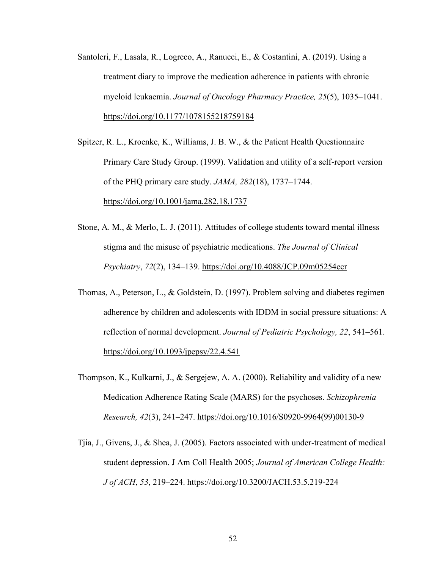- Santoleri, F., Lasala, R., Logreco, A., Ranucci, E., & Costantini, A. (2019). Using a treatment diary to improve the medication adherence in patients with chronic myeloid leukaemia. *Journal of Oncology Pharmacy Practice, 25*(5), 1035–1041. https://doi.org/10.1177/1078155218759184
- Spitzer, R. L., Kroenke, K., Williams, J. B. W., & the Patient Health Questionnaire Primary Care Study Group. (1999). Validation and utility of a self-report version of the PHQ primary care study. *JAMA, 282*(18), 1737–1744. https://doi.org/10.1001/jama.282.18.1737
- Stone, A. M., & Merlo, L. J. (2011). Attitudes of college students toward mental illness stigma and the misuse of psychiatric medications. *The Journal of Clinical Psychiatry*, *72*(2), 134–139. https://doi.org/10.4088/JCP.09m05254ecr
- Thomas, A., Peterson, L., & Goldstein, D. (1997). Problem solving and diabetes regimen adherence by children and adolescents with IDDM in social pressure situations: A reflection of normal development. *Journal of Pediatric Psychology, 22*, 541–561. https://doi.org/10.1093/jpepsy/22.4.541
- Thompson, K., Kulkarni, J., & Sergejew, A. A. (2000). Reliability and validity of a new Medication Adherence Rating Scale (MARS) for the psychoses. *Schizophrenia Research, 42*(3), 241–247. https://doi.org/10.1016/S0920-9964(99)00130-9
- Tjia, J., Givens, J., & Shea, J. (2005). Factors associated with under-treatment of medical student depression. J Am Coll Health 2005; *Journal of American College Health: J of ACH*, *53*, 219–224. https://doi.org/10.3200/JACH.53.5.219-224